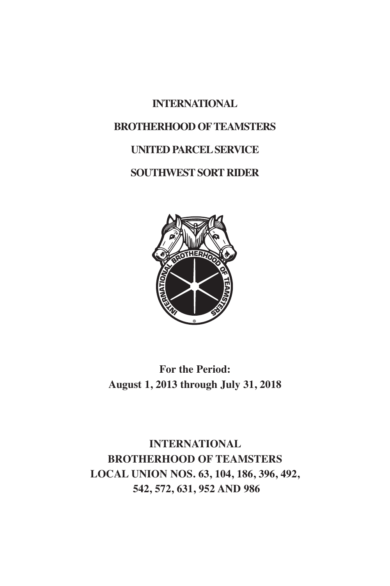# **INTERNATIONAL BROTHERHOOD OFTEAMSTERS UNITED PARCELSERVICE SOUTHWESTSORT RIDER**



#### **For the Period: August 1, 2013 through July 31, 2018**

**INTERNATIONAL BROTHERHOOD OF TEAMSTERS LOCAL UNION NOS. 63, 104, 186, 396, 492, 542, 572, 631, 952 AND 986**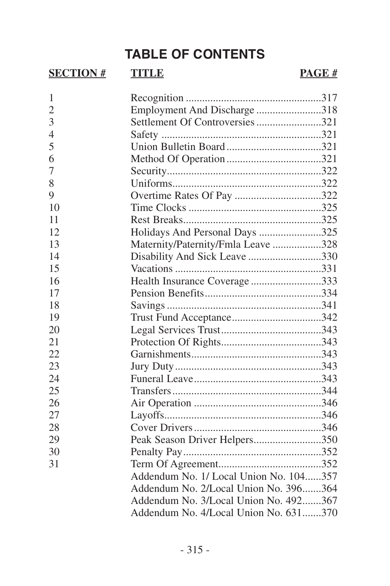## **TABLE OF CONTENTS**

#### **SECTION # TITLE PAGE #**

| 1              |                                        |  |
|----------------|----------------------------------------|--|
| $\overline{2}$ | Employment And Discharge 318           |  |
| 3              | Settlement Of Controversies 321        |  |
| $\overline{4}$ |                                        |  |
| 5              |                                        |  |
| 6              |                                        |  |
| 7              |                                        |  |
| 8              |                                        |  |
| 9              |                                        |  |
| 10             |                                        |  |
| 11             |                                        |  |
| 12.            | Holidays And Personal Days 325         |  |
| 13             | Maternity/Paternity/Fmla Leave 328     |  |
| 14             | Disability And Sick Leave 330          |  |
| 15             |                                        |  |
| 16             | Health Insurance Coverage333           |  |
| 17             |                                        |  |
| 18             |                                        |  |
| 19             | Trust Fund Acceptance342               |  |
| 20             |                                        |  |
| 21             |                                        |  |
| 22             |                                        |  |
| 23             |                                        |  |
| 24             |                                        |  |
| 25             |                                        |  |
| 26             |                                        |  |
| 27             |                                        |  |
| 28             |                                        |  |
| 29             | Peak Season Driver Helpers350          |  |
| 30             |                                        |  |
| 31             |                                        |  |
|                | Addendum No. 1/ Local Union No. 104357 |  |
|                | Addendum No. 2/Local Union No. 396364  |  |
|                | Addendum No. 3/Local Union No. 492367  |  |
|                | Addendum No. 4/Local Union No. 631370  |  |
|                |                                        |  |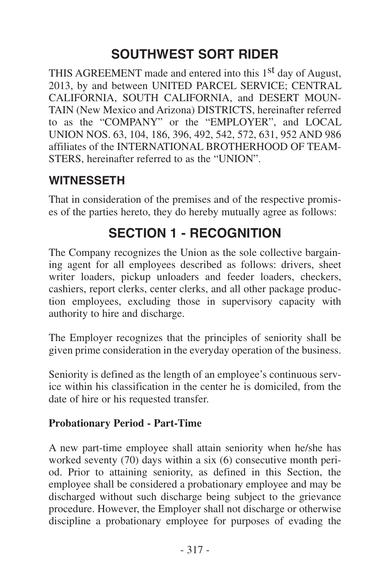## **SOUTHWEST SORT RIDER**

<span id="page-4-0"></span>THIS AGREEMENT made and entered into this 1<sup>st</sup> day of August, 2013, by and between UNITED PARCEL SERVICE; CENTRAL CALIFORNIA, SOUTH CALIFORNIA, and DESERT MOUN-TAIN (New Mexico and Arizona) DISTRICTS, hereinafter referred to as the "COMPANY" or the "EMPLOYER", and LOCAL UNION NOS. 63, 104, 186, 396, 492, 542, 572, 631, 952 AND 986 affiliates of the INTERNATIONAL BROTHERHOOD OF TEAM-STERS, hereinafter referred to as the "UNION".

#### **WITNESSETH**

That in consideration of the premises and of the respective promises of the parties hereto, they do hereby mutually agree as follows:

## **SECTION 1 - RECOGNITION**

The Company recognizes the Union as the sole collective bargaining agent for all employees described as follows: drivers, sheet writer loaders, pickup unloaders and feeder loaders, checkers, cashiers, report clerks, center clerks, and all other package production employees, excluding those in supervisory capacity with authority to hire and discharge.

The Employer recognizes that the principles of seniority shall be given prime consideration in the everyday operation of the business.

Seniority is defined as the length of an employee's continuous service within his classification in the center he is domiciled, from the date of hire or his requested transfer.

#### **Probationary Period - Part-Time**

A new part-time employee shall attain seniority when he/she has worked seventy (70) days within a six (6) consecutive month period. Prior to attaining seniority, as defined in this Section, the employee shall be considered a probationary employee and may be discharged without such discharge being subject to the grievance procedure. However, the Employer shall not discharge or otherwise discipline a probationary employee for purposes of evading the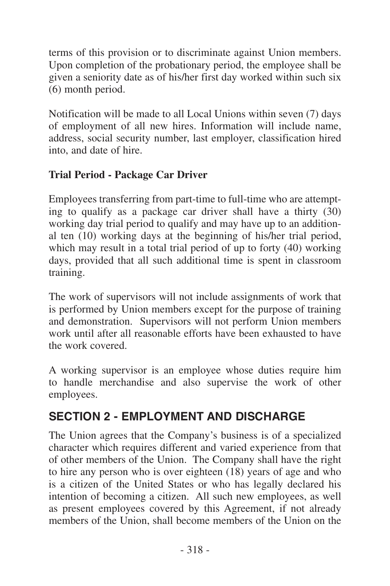<span id="page-5-0"></span>terms of this provision or to discriminate against Union members. Upon completion of the probationary period, the employee shall be given a seniority date as of his/her first day worked within such six (6) month period.

Notification will be made to all Local Unions within seven (7) days of employment of all new hires. Information will include name, address, social security number, last employer, classification hired into, and date of hire.

#### **Trial Period - Package Car Driver**

Employees transferring from part-time to full-time who are attempting to qualify as a package car driver shall have a thirty  $(30)$ working day trial period to qualify and may have up to an additional ten (10) working days at the beginning of his/her trial period, which may result in a total trial period of up to forty (40) working days, provided that all such additional time is spent in classroom training.

The work of supervisors will not include assignments of work that is performed by Union members except for the purpose of training and demonstration. Supervisors will not perform Union members work until after all reasonable efforts have been exhausted to have the work covered.

A working supervisor is an employee whose duties require him to handle merchandise and also supervise the work of other employees.

#### **SECTION 2 - EMPLOYMENT AND DISCHARGE**

The Union agrees that the Company's business is of a specialized character which requires different and varied experience from that of other members of the Union. The Company shall have the right to hire any person who is over eighteen (18) years of age and who is a citizen of the United States or who has legally declared his intention of becoming a citizen. All such new employees, as well as present employees covered by this Agreement, if not already members of the Union, shall become members of the Union on the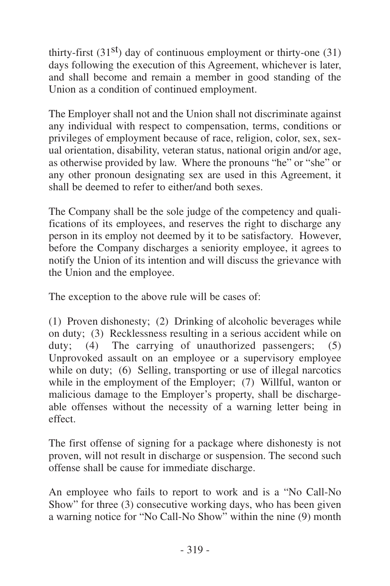thirty-first  $(31<sup>st</sup>)$  day of continuous employment or thirty-one  $(31)$ days following the execution of this Agreement, whichever is later, and shall become and remain a member in good standing of the Union as a condition of continued employment.

The Employer shall not and the Union shall not discriminate against any individual with respect to compensation, terms, conditions or privileges of employment because of race, religion, color, sex, sexual orientation, disability, veteran status, national origin and/or age, as otherwise provided by law. Where the pronouns "he" or "she" or any other pronoun designating sex are used in this Agreement, it shall be deemed to refer to either/and both sexes.

The Company shall be the sole judge of the competency and qualifications of its employees, and reserves the right to discharge any person in its employ not deemed by it to be satisfactory. However, before the Company discharges a seniority employee, it agrees to notify the Union of its intention and will discuss the grievance with the Union and the employee.

The exception to the above rule will be cases of:

(1) Proven dishonesty; (2) Drinking of alcoholic beverages while on duty; (3) Recklessness resulting in a serious accident while on duty;  $(4)$  The carrying of unauthorized passengers;  $(5)$ Unprovoked assault on an employee or a supervisory employee while on duty; (6) Selling, transporting or use of illegal narcotics while in the employment of the Employer; (7) Willful, wanton or malicious damage to the Employer's property, shall be dischargeable offenses without the necessity of a warning letter being in effect.

The first offense of signing for a package where dishonesty is not proven, will not result in discharge or suspension. The second such offense shall be cause for immediate discharge.

An employee who fails to report to work and is a "No Call-No Show" for three (3) consecutive working days, who has been given a warning notice for "No Call-No Show" within the nine (9) month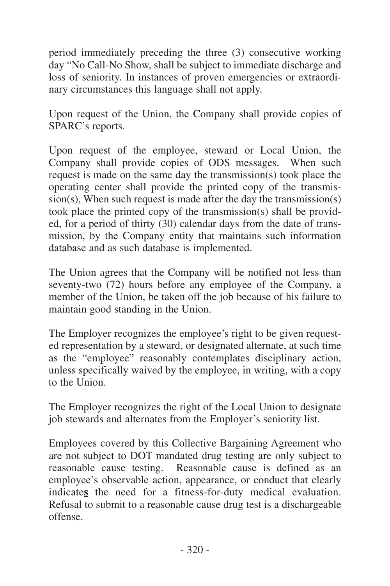period immediately preceding the three (3) consecutive working day "No Call-No Show, shall be subject to immediate discharge and loss of seniority. In instances of proven emergencies or extraordinary circumstances this language shall not apply.

Upon request of the Union, the Company shall provide copies of SPARC's reports.

Upon request of the employee, steward or Local Union, the Company shall provide copies of ODS messages. When such request is made on the same day the transmission(s) took place the operating center shall provide the printed copy of the transmission(s), When such request is made after the day the transmission(s) took place the printed copy of the transmission(s) shall be provided, for a period of thirty (30) calendar days from the date of transmission, by the Company entity that maintains such information database and as such database is implemented.

The Union agrees that the Company will be notified not less than seventy-two (72) hours before any employee of the Company, a member of the Union, be taken off the job because of his failure to maintain good standing in the Union.

The Employer recognizes the employee's right to be given requested representation by a steward, or designated alternate, at such time as the "employee" reasonably contemplates disciplinary action, unless specifically waived by the employee, in writing, with a copy to the Union.

The Employer recognizes the right of the Local Union to designate job stewards and alternates from the Employer's seniority list.

Employees covered by this Collective Bargaining Agreement who are not subject to DOT mandated drug testing are only subject to reasonable cause testing. Reasonable cause is defined as an employee's observable action, appearance, or conduct that clearly indicate**s** the need for a fitness-for-duty medical evaluation. Refusal to submit to a reasonable cause drug test is a dischargeable offense.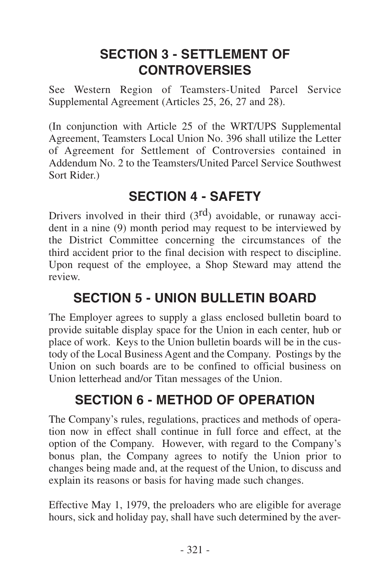## <span id="page-8-0"></span>**SECTION 3 - SETTLEMENT OF CONTROVERSIES**

See Western Region of Teamsters-United Parcel Service Supplemental Agreement (Articles 25, 26, 27 and 28).

(In conjunction with Article 25 of the WRT/UPS Supplemental Agreement, Teamsters Local Union No. 396 shall utilize the Letter of Agreement for Settlement of Controversies contained in Addendum No. 2 to the Teamsters/United Parcel Service Southwest Sort Rider.)

## **SECTION 4 - SAFETY**

Drivers involved in their third  $(3<sup>rd</sup>)$  avoidable, or runaway accident in a nine (9) month period may request to be interviewed by the District Committee concerning the circumstances of the third accident prior to the final decision with respect to discipline. Upon request of the employee, a Shop Steward may attend the review.

## **SECTION 5 - UNION BULLETIN BOARD**

The Employer agrees to supply a glass enclosed bulletin board to provide suitable display space for the Union in each center, hub or place of work. Keys to the Union bulletin boards will be in the custody of the Local Business Agent and the Company. Postings by the Union on such boards are to be confined to official business on Union letterhead and/or Titan messages of the Union.

## **SECTION 6 - METHOD OF OPERATION**

The Company's rules, regulations, practices and methods of operation now in effect shall continue in full force and effect, at the option of the Company. However, with regard to the Company's bonus plan, the Company agrees to notify the Union prior to changes being made and, at the request of the Union, to discuss and explain its reasons or basis for having made such changes.

Effective May 1, 1979, the preloaders who are eligible for average hours, sick and holiday pay, shall have such determined by the aver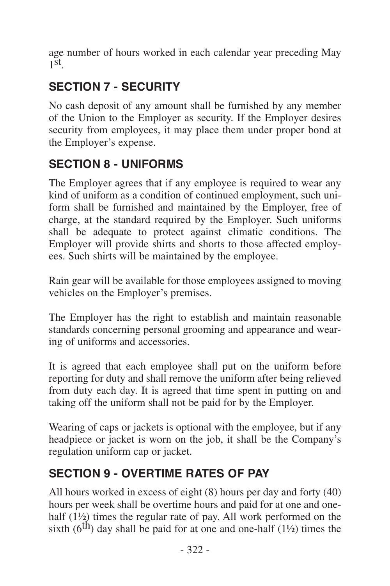<span id="page-9-0"></span>age number of hours worked in each calendar year preceding May  $1^{\text{st}}$ .

## **SECTION 7 - SECURITY**

No cash deposit of any amount shall be furnished by any member of the Union to the Employer as security. If the Employer desires security from employees, it may place them under proper bond at the Employer's expense.

#### **SECTION 8 - UNIFORMS**

The Employer agrees that if any employee is required to wear any kind of uniform as a condition of continued employment, such uniform shall be furnished and maintained by the Employer, free of charge, at the standard required by the Employer. Such uniforms shall be adequate to protect against climatic conditions. The Employer will provide shirts and shorts to those affected employees. Such shirts will be maintained by the employee.

Rain gear will be available for those employees assigned to moving vehicles on the Employer's premises.

The Employer has the right to establish and maintain reasonable standards concerning personal grooming and appearance and wearing of uniforms and accessories.

It is agreed that each employee shall put on the uniform before reporting for duty and shall remove the uniform after being relieved from duty each day. It is agreed that time spent in putting on and taking off the uniform shall not be paid for by the Employer.

Wearing of caps or jackets is optional with the employee, but if any headpiece or jacket is worn on the job, it shall be the Company's regulation uniform cap or jacket.

## **SECTION 9 - OVERTIME RATES OF PAY**

All hours worked in excess of eight (8) hours per day and forty (40) hours per week shall be overtime hours and paid for at one and onehalf (1<sup>1</sup>/<sub>2</sub>) times the regular rate of pay. All work performed on the sixth  $(6<sup>th</sup>)$  day shall be paid for at one and one-half  $(1\frac{1}{2})$  times the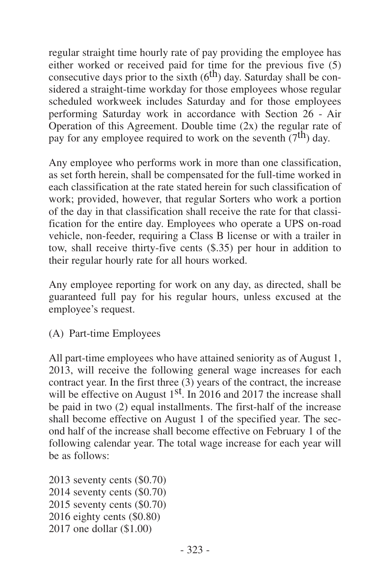regular straight time hourly rate of pay providing the employee has either worked or received paid for time for the previous five (5) consecutive days prior to the sixth  $(6<sup>th</sup>)$  day. Saturday shall be considered a straight-time workday for those employees whose regular scheduled workweek includes Saturday and for those employees performing Saturday work in accordance with Section 26 - Air Operation of this Agreement. Double time  $(2x)$  the regular rate of pay for any employee required to work on the seventh  $(7<sup>th</sup>)$  day.

Any employee who performs work in more than one classification, as set forth herein, shall be compensated for the full-time worked in each classification at the rate stated herein for such classification of work; provided, however, that regular Sorters who work a portion of the day in that classification shall receive the rate for that classification for the entire day. Employees who operate a UPS on-road vehicle, non-feeder, requiring a Class B license or with a trailer in tow, shall receive thirty-five cents (\$.35) per hour in addition to their regular hourly rate for all hours worked.

Any employee reporting for work on any day, as directed, shall be guaranteed full pay for his regular hours, unless excused at the employee's request.

(A) Part-time Employees

All part-time employees who have attained seniority as of August 1, 2013, will receive the following general wage increases for each contract year. In the first three  $(3)$  years of the contract, the increase will be effective on August 1<sup>st</sup>. In 2016 and 2017 the increase shall be paid in two (2) equal installments. The first-half of the increase shall become effective on August 1 of the specified year. The second half of the increase shall become effective on February 1 of the following calendar year. The total wage increase for each year will be as follows:

 seventy cents (\$0.70) seventy cents (\$0.70) seventy cents (\$0.70) eighty cents (\$0.80) one dollar (\$1.00)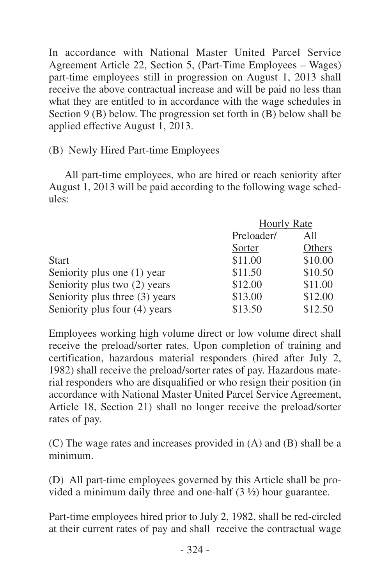In accordance with National Master United Parcel Service Agreement Article 22, Section 5, (Part-Time Employees – Wages) part-time employees still in progression on August 1, 2013 shall receive the above contractual increase and will be paid no less than what they are entitled to in accordance with the wage schedules in Section  $9(B)$  below. The progression set forth in  $(B)$  below shall be applied effective August 1, 2013.

(B) Newly Hired Part-time Employees

All part-time employees, who are hired or reach seniority after August 1, 2013 will be paid according to the following wage schedules:

|                                | <b>Hourly Rate</b> |         |  |
|--------------------------------|--------------------|---------|--|
|                                | Preloader/         | All     |  |
|                                | Sorter             | Others  |  |
| <b>Start</b>                   | \$11.00            | \$10.00 |  |
| Seniority plus one (1) year    | \$11.50            | \$10.50 |  |
| Seniority plus two (2) years   | \$12.00            | \$11.00 |  |
| Seniority plus three (3) years | \$13.00            | \$12.00 |  |
| Seniority plus four (4) years  | \$13.50            | \$12.50 |  |

Employees working high volume direct or low volume direct shall receive the preload/sorter rates. Upon completion of training and certification, hazardous material responders (hired after July 2, 1982) shall receive the preload/sorter rates of pay. Hazardous material responders who are disqualified or who resign their position (in accordance with National Master United Parcel Service Agreement, Article 18, Section 21) shall no longer receive the preload/sorter rates of pay.

(C) The wage rates and increases provided in (A) and (B) shall be a minimum.

(D) All part-time employees governed by this Article shall be provided a minimum daily three and one-half (3 ½) hour guarantee.

Part-time employees hired prior to July 2, 1982, shall be red-circled at their current rates of pay and shall receive the contractual wage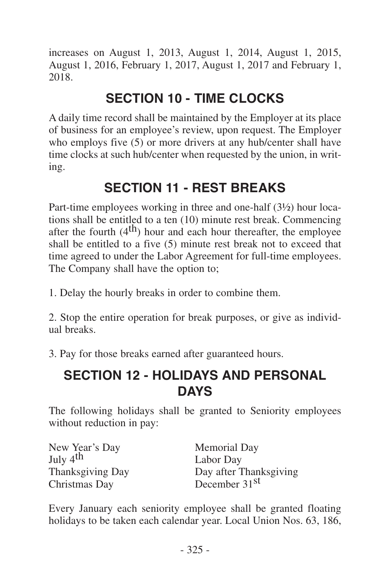<span id="page-12-0"></span>increases on August 1, 2013, August 1, 2014, August 1, 2015, August 1, 2016, February 1, 2017, August 1, 2017 and February 1, 2018.

## **SECTION 10 - TIME CLOCKS**

A daily time record shall be maintained by the Employer at its place of business for an employee's review, upon request. The Employer who employs five (5) or more drivers at any hub/center shall have time clocks at such hub/center when requested by the union, in writing.

## **SECTION 11 - REST BREAKS**

Part-time employees working in three and one-half (3½) hour locations shall be entitled to a ten (10) minute rest break. Commencing after the fourth  $(4<sup>th</sup>)$  hour and each hour thereafter, the employee shall be entitled to a five (5) minute rest break not to exceed that time agreed to under the Labor Agreement for full-time employees. The Company shall have the option to;

1. Delay the hourly breaks in order to combine them.

2. Stop the entire operation for break purposes, or give as individual breaks.

3. Pay for those breaks earned after guaranteed hours.

## **SECTION 12 - HOLIDAYS AND PERSONAL DAYS**

The following holidays shall be granted to Seniority employees without reduction in pay:

| New Year's Day       | Memorial Day              |
|----------------------|---------------------------|
| July 4 <sup>th</sup> | Labor Day                 |
| Thanksgiving Day     | Day after Thanksgiving    |
| Christmas Day        | December 31 <sup>st</sup> |

Every January each seniority employee shall be granted floating holidays to be taken each calendar year. Local Union Nos. 63, 186,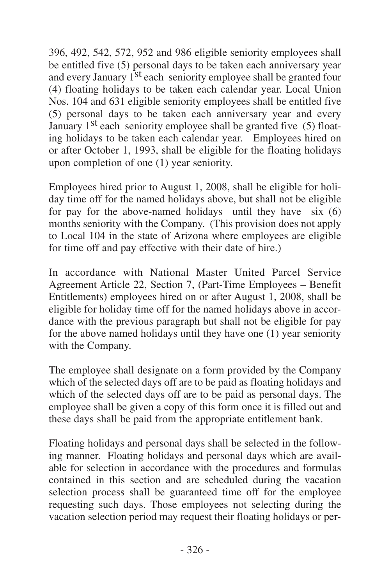396, 492, 542, 572, 952 and 986 eligible seniority employees shall be entitled five (5) personal days to be taken each anniversary year and every January 1<sup>st</sup> each seniority employee shall be granted four (4) floating holidays to be taken each calendar year. Local Union Nos. 104 and 631 eligible seniority employees shall be entitled five (5) personal days to be taken each anniversary year and every January 1<sup>st</sup> each seniority employee shall be granted five (5) floating holidays to be taken each calendar year. Employees hired on or after October 1, 1993, shall be eligible for the floating holidays upon completion of one (1) year seniority.

Employees hired prior to August 1, 2008, shall be eligible for holiday time off for the named holidays above, but shall not be eligible for pay for the above-named holidays until they have  $s$ ix (6) months seniority with the Company. (This provision does not apply to Local 104 in the state of Arizona where employees are eligible for time off and pay effective with their date of hire.)

In accordance with National Master United Parcel Service Agreement Article 22, Section 7, (Part-Time Employees – Benefit Entitlements) employees hired on or after August 1, 2008, shall be eligible for holiday time off for the named holidays above in accordance with the previous paragraph but shall not be eligible for pay for the above named holidays until they have one (1) year seniority with the Company.

The employee shall designate on a form provided by the Company which of the selected days off are to be paid as floating holidays and which of the selected days off are to be paid as personal days. The employee shall be given a copy of this form once it is filled out and these days shall be paid from the appropriate entitlement bank.

Floating holidays and personal days shall be selected in the following manner. Floating holidays and personal days which are available for selection in accordance with the procedures and formulas contained in this section and are scheduled during the vacation selection process shall be guaranteed time off for the employee requesting such days. Those employees not selecting during the vacation selection period may request their floating holidays or per-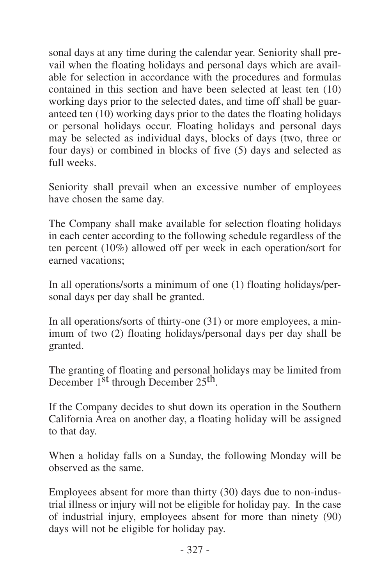sonal days at any time during the calendar year. Seniority shall prevail when the floating holidays and personal days which are available for selection in accordance with the procedures and formulas contained in this section and have been selected at least ten (10) working days prior to the selected dates, and time off shall be guaranteed ten (10) working days prior to the dates the floating holidays or personal holidays occur. Floating holidays and personal days may be selected as individual days, blocks of days (two, three or four days) or combined in blocks of five (5) days and selected as full weeks.

Seniority shall prevail when an excessive number of employees have chosen the same day.

The Company shall make available for selection floating holidays in each center according to the following schedule regardless of the ten percent (10%) allowed off per week in each operation/sort for earned vacations;

In all operations/sorts a minimum of one (1) floating holidays/personal days per day shall be granted.

In all operations/sorts of thirty-one (31) or more employees, a minimum of two (2) floating holidays/personal days per day shall be granted.

The granting of floating and personal holidays may be limited from December 1<sup>st</sup> through December 25<sup>th</sup>.

If the Company decides to shut down its operation in the Southern California Area on another day, a floating holiday will be assigned to that day.

When a holiday falls on a Sunday, the following Monday will be observed as the same.

Employees absent for more than thirty (30) days due to non-industrial illness or injury will not be eligible for holiday pay. In the case of industrial injury, employees absent for more than ninety (90) days will not be eligible for holiday pay.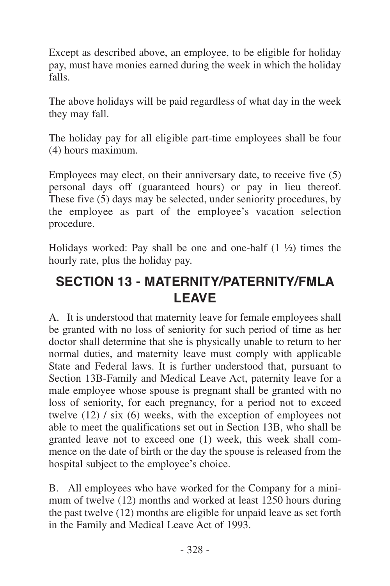<span id="page-15-0"></span>Except as described above, an employee, to be eligible for holiday pay, must have monies earned during the week in which the holiday falls.

The above holidays will be paid regardless of what day in the week they may fall.

The holiday pay for all eligible part-time employees shall be four (4) hours maximum.

Employees may elect, on their anniversary date, to receive five (5) personal days off (guaranteed hours) or pay in lieu thereof. These five (5) days may be selected, under seniority procedures, by the employee as part of the employee's vacation selection procedure.

Holidays worked: Pay shall be one and one-half  $(1 \frac{1}{2})$  times the hourly rate, plus the holiday pay.

## **SECTION 13 - MATERNITY/PATERNITY/FMLA LEAVE**

A. It is understood that maternity leave for female employees shall be granted with no loss of seniority for such period of time as her doctor shall determine that she is physically unable to return to her normal duties, and maternity leave must comply with applicable State and Federal laws. It is further understood that, pursuant to Section 13B-Family and Medical Leave Act, paternity leave for a male employee whose spouse is pregnant shall be granted with no loss of seniority, for each pregnancy, for a period not to exceed twelve (12) / six (6) weeks, with the exception of employees not able to meet the qualifications set out in Section 13B, who shall be granted leave not to exceed one (1) week, this week shall commence on the date of birth or the day the spouse is released from the hospital subject to the employee's choice.

B. All employees who have worked for the Company for a minimum of twelve (12) months and worked at least 1250 hours during the past twelve  $(12)$  months are eligible for unpaid leave as set forth in the Family and Medical Leave Act of 1993.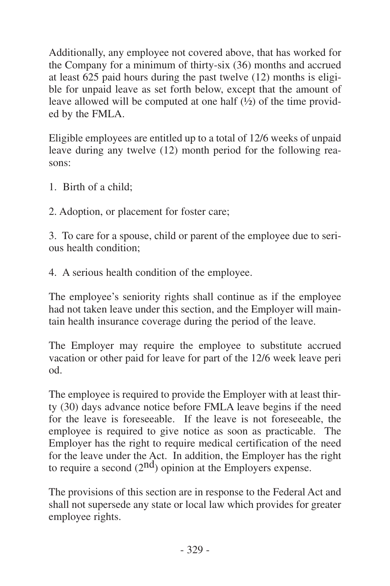Additionally, any employee not covered above, that has worked for the Company for a minimum of thirty-six (36) months and accrued at least 625 paid hours during the past twelve (12) months is eligible for unpaid leave as set forth below, except that the amount of leave allowed will be computed at one half (½) of the time provided by the FMLA.

Eligible employees are entitled up to a total of 12/6 weeks of unpaid leave during any twelve (12) month period for the following reasons:

- 1. Birth of a child;
- 2. Adoption, or placement for foster care;

3. To care for a spouse, child or parent of the employee due to serious health condition;

4. A serious health condition of the employee.

The employee's seniority rights shall continue as if the employee had not taken leave under this section, and the Employer will maintain health insurance coverage during the period of the leave.

The Employer may require the employee to substitute accrued vacation or other paid for leave for part of the 12/6 week leave peri od.

The employee is required to provide the Employer with at least thirty (30) days advance notice before FMLA leave begins if the need for the leave is foreseeable. If the leave is not foreseeable, the employee is required to give notice as soon as practicable. The Employer has the right to require medical certification of the need for the leave under the Act. In addition, the Employer has the right to require a second  $(2<sup>nd</sup>)$  opinion at the Employers expense.

The provisions of this section are in response to the Federal Act and shall not supersede any state or local law which provides for greater employee rights.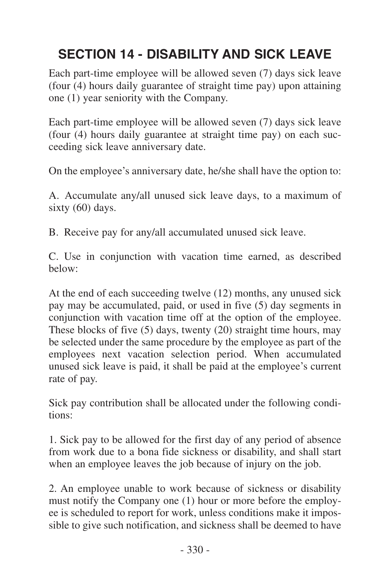## <span id="page-17-0"></span>**SECTION 14 - DISABILITY AND SICK LEAVE**

Each part-time employee will be allowed seven (7) days sick leave (four (4) hours daily guarantee of straight time pay) upon attaining one (1) year seniority with the Company.

Each part-time employee will be allowed seven (7) days sick leave (four (4) hours daily guarantee at straight time pay) on each succeeding sick leave anniversary date.

On the employee's anniversary date, he/she shall have the option to:

A. Accumulate any/all unused sick leave days, to a maximum of sixty (60) days.

B. Receive pay for any/all accumulated unused sick leave.

C. Use in conjunction with vacation time earned, as described below:

At the end of each succeeding twelve (12) months, any unused sick pay may be accumulated, paid, or used in five (5) day segments in conjunction with vacation time off at the option of the employee. These blocks of five (5) days, twenty (20) straight time hours, may be selected under the same procedure by the employee as part of the employees next vacation selection period. When accumulated unused sick leave is paid, it shall be paid at the employee's current rate of pay.

Sick pay contribution shall be allocated under the following conditions:

1. Sick pay to be allowed for the first day of any period of absence from work due to a bona fide sickness or disability, and shall start when an employee leaves the job because of injury on the job.

2. An employee unable to work because of sickness or disability must notify the Company one (1) hour or more before the employee is scheduled to report for work, unless conditions make it impossible to give such notification, and sickness shall be deemed to have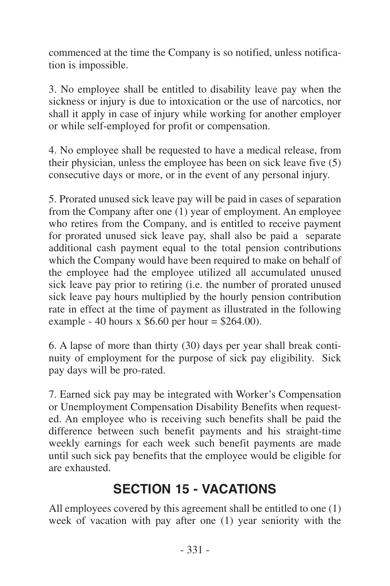<span id="page-18-0"></span>commenced at the time the Company is so notified, unless notification is impossible.

3. No employee shall be entitled to disability leave pay when the sickness or injury is due to intoxication or the use of narcotics, nor shall it apply in case of injury while working for another employer or while self-employed for profit or compensation.

4. No employee shall be requested to have a medical release, from their physician, unless the employee has been on sick leave five (5) consecutive days or more, or in the event of any personal injury.

5. Prorated unused sick leave pay will be paid in cases of separation from the Company after one (1) year of employment. An employee who retires from the Company, and is entitled to receive payment for prorated unused sick leave pay, shall also be paid a separate additional cash payment equal to the total pension contributions which the Company would have been required to make on behalf of the employee had the employee utilized all accumulated unused sick leave pay prior to retiring (i.e. the number of prorated unused sick leave pay hours multiplied by the hourly pension contribution rate in effect at the time of payment as illustrated in the following example - 40 hours x  $$6.60$  per hour = \$264.00).

6. A lapse of more than thirty (30) days per year shall break continuity of employment for the purpose of sick pay eligibility. Sick pay days will be pro-rated.

7. Earned sick pay may be integrated with Worker's Compensation or Unemployment Compensation Disability Benefits when requested. An employee who is receiving such benefits shall be paid the difference between such benefit payments and his straight-time weekly earnings for each week such benefit payments are made until such sick pay benefits that the employee would be eligible for are exhausted.

## **SECTION 15 - VACATIONS**

All employees covered by this agreement shall be entitled to one (1) week of vacation with pay after one (1) year seniority with the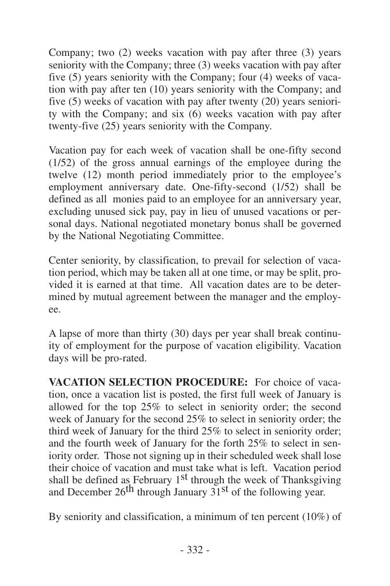Company; two (2) weeks vacation with pay after three (3) years seniority with the Company; three (3) weeks vacation with pay after five (5) years seniority with the Company; four (4) weeks of vacation with pay after ten (10) years seniority with the Company; and five (5) weeks of vacation with pay after twenty (20) years seniority with the Company; and six (6) weeks vacation with pay after twenty-five (25) years seniority with the Company.

Vacation pay for each week of vacation shall be one-fifty second (1/52) of the gross annual earnings of the employee during the twelve (12) month period immediately prior to the employee's employment anniversary date. One-fifty-second (1/52) shall be defined as all monies paid to an employee for an anniversary year, excluding unused sick pay, pay in lieu of unused vacations or personal days. National negotiated monetary bonus shall be governed by the National Negotiating Committee.

Center seniority, by classification, to prevail for selection of vacation period, which may be taken all at one time, or may be split, provided it is earned at that time. All vacation dates are to be determined by mutual agreement between the manager and the employee.

A lapse of more than thirty (30) days per year shall break continuity of employment for the purpose of vacation eligibility. Vacation days will be pro-rated.

**VACATION SELECTION PROCEDURE:** For choice of vacation, once a vacation list is posted, the first full week of January is allowed for the top 25% to select in seniority order; the second week of January for the second 25% to select in seniority order; the third week of January for the third 25% to select in seniority order; and the fourth week of January for the forth 25% to select in seniority order. Those not signing up in their scheduled week shall lose their choice of vacation and must take what is left. Vacation period shall be defined as February 1<sup>st</sup> through the week of Thanksgiving and December  $26^{th}$  through January  $31^{st}$  of the following year.

By seniority and classification, a minimum of ten percent (10%) of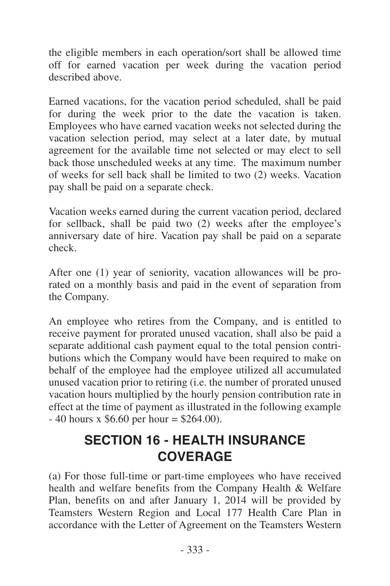<span id="page-20-0"></span>the eligible members in each operation/sort shall be allowed time off for earned vacation per week during the vacation period described above.

Earned vacations, for the vacation period scheduled, shall be paid for during the week prior to the date the vacation is taken. Employees who have earned vacation weeks not selected during the vacation selection period, may select at a later date, by mutual agreement for the available time not selected or may elect to sell back those unscheduled weeks at any time. The maximum number of weeks for sell back shall be limited to two (2) weeks. Vacation pay shall be paid on a separate check.

Vacation weeks earned during the current vacation period, declared for sellback, shall be paid two (2) weeks after the employee's anniversary date of hire. Vacation pay shall be paid on a separate check.

After one (1) year of seniority, vacation allowances will be prorated on a monthly basis and paid in the event of separation from the Company.

An employee who retires from the Company, and is entitled to receive payment for prorated unused vacation, shall also be paid a separate additional cash payment equal to the total pension contributions which the Company would have been required to make on behalf of the employee had the employee utilized all accumulated unused vacation prior to retiring (i.e. the number of prorated unused vacation hours multiplied by the hourly pension contribution rate in effect at the time of payment as illustrated in the following example  $- 40$  hours x \$6.60 per hour = \$264.00).

## **SECTION 16 - HEALTH INSURANCE COVERAGE**

(a) For those full-time or part-time employees who have received health and welfare benefits from the Company Health & Welfare Plan, benefits on and after January 1, 2014 will be provided by Teamsters Western Region and Local 177 Health Care Plan in accordance with the Letter of Agreement on the Teamsters Western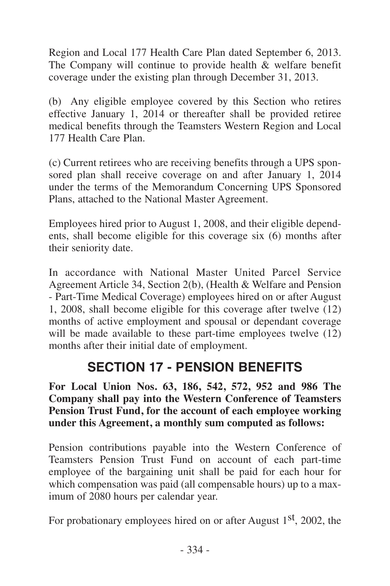<span id="page-21-0"></span>Region and Local 177 Health Care Plan dated September 6, 2013. The Company will continue to provide health  $\&$  welfare benefit coverage under the existing plan through December 31, 2013.

(b) Any eligible employee covered by this Section who retires effective January 1, 2014 or thereafter shall be provided retiree medical benefits through the Teamsters Western Region and Local 177 Health Care Plan.

(c) Current retirees who are receiving benefits through a UPS sponsored plan shall receive coverage on and after January 1, 2014 under the terms of the Memorandum Concerning UPS Sponsored Plans, attached to the National Master Agreement.

Employees hired prior to August 1, 2008, and their eligible dependents, shall become eligible for this coverage six (6) months after their seniority date.

In accordance with National Master United Parcel Service Agreement Article 34, Section 2(b), (Health & Welfare and Pension - Part-Time Medical Coverage) employees hired on or after August 1, 2008, shall become eligible for this coverage after twelve (12) months of active employment and spousal or dependant coverage will be made available to these part-time employees twelve  $(12)$ months after their initial date of employment.

## **SECTION 17 - PENSION BENEFITS**

**For Local Union Nos. 63, 186, 542, 572, 952 and 986 The Company shall pay into the Western Conference of Teamsters Pension Trust Fund, for the account of each employee working under this Agreement, a monthly sum computed as follows:**

Pension contributions payable into the Western Conference of Teamsters Pension Trust Fund on account of each part-time employee of the bargaining unit shall be paid for each hour for which compensation was paid (all compensable hours) up to a maximum of 2080 hours per calendar year.

For probationary employees hired on or after August 1<sup>st</sup>, 2002, the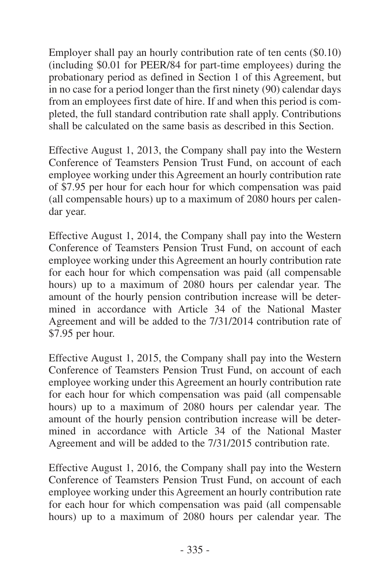Employer shall pay an hourly contribution rate of ten cents (\$0.10) (including \$0.01 for PEER/84 for part-time employees) during the probationary period as defined in Section 1 of this Agreement, but in no case for a period longer than the first ninety (90) calendar days from an employees first date of hire. If and when this period is completed, the full standard contribution rate shall apply. Contributions shall be calculated on the same basis as described in this Section.

Effective August 1, 2013, the Company shall pay into the Western Conference of Teamsters Pension Trust Fund, on account of each employee working under this Agreement an hourly contribution rate of \$7.95 per hour for each hour for which compensation was paid (all compensable hours) up to a maximum of 2080 hours per calendar year.

Effective August 1, 2014, the Company shall pay into the Western Conference of Teamsters Pension Trust Fund, on account of each employee working under this Agreement an hourly contribution rate for each hour for which compensation was paid (all compensable hours) up to a maximum of 2080 hours per calendar year. The amount of the hourly pension contribution increase will be determined in accordance with Article 34 of the National Master Agreement and will be added to the 7/31/2014 contribution rate of \$7.95 per hour.

Effective August 1, 2015, the Company shall pay into the Western Conference of Teamsters Pension Trust Fund, on account of each employee working under this Agreement an hourly contribution rate for each hour for which compensation was paid (all compensable hours) up to a maximum of 2080 hours per calendar year. The amount of the hourly pension contribution increase will be determined in accordance with Article 34 of the National Master Agreement and will be added to the 7/31/2015 contribution rate.

Effective August 1, 2016, the Company shall pay into the Western Conference of Teamsters Pension Trust Fund, on account of each employee working under this Agreement an hourly contribution rate for each hour for which compensation was paid (all compensable hours) up to a maximum of 2080 hours per calendar year. The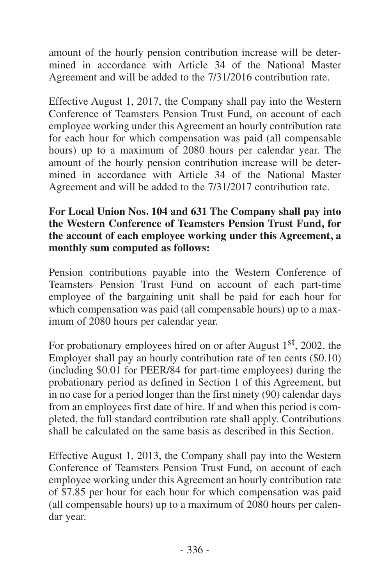amount of the hourly pension contribution increase will be determined in accordance with Article 34 of the National Master Agreement and will be added to the 7/31/2016 contribution rate.

Effective August 1, 2017, the Company shall pay into the Western Conference of Teamsters Pension Trust Fund, on account of each employee working under this Agreement an hourly contribution rate for each hour for which compensation was paid (all compensable hours) up to a maximum of 2080 hours per calendar year. The amount of the hourly pension contribution increase will be determined in accordance with Article 34 of the National Master Agreement and will be added to the 7/31/2017 contribution rate.

#### **For Local Union Nos. 104 and 631 The Company shall pay into the Western Conference of Teamsters Pension Trust Fund, for the account of each employee working under this Agreement, a monthly sum computed as follows:**

Pension contributions payable into the Western Conference of Teamsters Pension Trust Fund on account of each part-time employee of the bargaining unit shall be paid for each hour for which compensation was paid (all compensable hours) up to a maximum of 2080 hours per calendar year.

For probationary employees hired on or after August 1<sup>st</sup>, 2002, the Employer shall pay an hourly contribution rate of ten cents (\$0.10) (including \$0.01 for PEER/84 for part-time employees) during the probationary period as defined in Section 1 of this Agreement, but in no case for a period longer than the first ninety (90) calendar days from an employees first date of hire. If and when this period is completed, the full standard contribution rate shall apply. Contributions shall be calculated on the same basis as described in this Section.

Effective August 1, 2013, the Company shall pay into the Western Conference of Teamsters Pension Trust Fund, on account of each employee working under this Agreement an hourly contribution rate of \$7.85 per hour for each hour for which compensation was paid (all compensable hours) up to a maximum of 2080 hours per calendar year.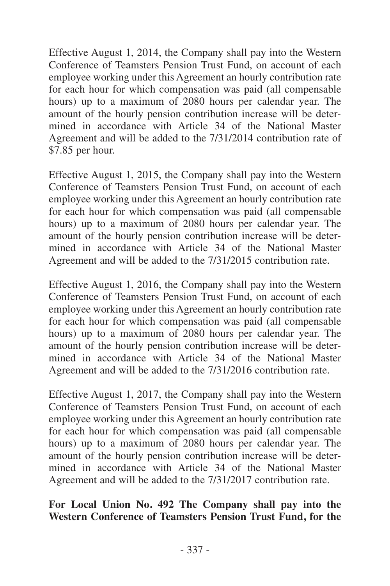Effective August 1, 2014, the Company shall pay into the Western Conference of Teamsters Pension Trust Fund, on account of each employee working under this Agreement an hourly contribution rate for each hour for which compensation was paid (all compensable hours) up to a maximum of 2080 hours per calendar year. The amount of the hourly pension contribution increase will be determined in accordance with Article 34 of the National Master Agreement and will be added to the 7/31/2014 contribution rate of \$7.85 per hour.

Effective August 1, 2015, the Company shall pay into the Western Conference of Teamsters Pension Trust Fund, on account of each employee working under this Agreement an hourly contribution rate for each hour for which compensation was paid (all compensable hours) up to a maximum of 2080 hours per calendar year. The amount of the hourly pension contribution increase will be determined in accordance with Article 34 of the National Master Agreement and will be added to the 7/31/2015 contribution rate.

Effective August 1, 2016, the Company shall pay into the Western Conference of Teamsters Pension Trust Fund, on account of each employee working under this Agreement an hourly contribution rate for each hour for which compensation was paid (all compensable hours) up to a maximum of 2080 hours per calendar year. The amount of the hourly pension contribution increase will be determined in accordance with Article 34 of the National Master Agreement and will be added to the 7/31/2016 contribution rate.

Effective August 1, 2017, the Company shall pay into the Western Conference of Teamsters Pension Trust Fund, on account of each employee working under this Agreement an hourly contribution rate for each hour for which compensation was paid (all compensable hours) up to a maximum of 2080 hours per calendar year. The amount of the hourly pension contribution increase will be determined in accordance with Article 34 of the National Master Agreement and will be added to the 7/31/2017 contribution rate.

#### **For Local Union No. 492 The Company shall pay into the Western Conference of Teamsters Pension Trust Fund, for the**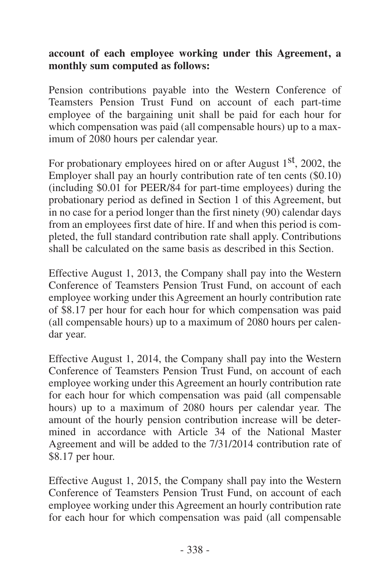#### **account of each employee working under this Agreement, a monthly sum computed as follows:**

Pension contributions payable into the Western Conference of Teamsters Pension Trust Fund on account of each part-time employee of the bargaining unit shall be paid for each hour for which compensation was paid (all compensable hours) up to a maximum of 2080 hours per calendar year.

For probationary employees hired on or after August 1<sup>st</sup>, 2002, the Employer shall pay an hourly contribution rate of ten cents (\$0.10) (including \$0.01 for PEER/84 for part-time employees) during the probationary period as defined in Section 1 of this Agreement, but in no case for a period longer than the first ninety (90) calendar days from an employees first date of hire. If and when this period is completed, the full standard contribution rate shall apply. Contributions shall be calculated on the same basis as described in this Section.

Effective August 1, 2013, the Company shall pay into the Western Conference of Teamsters Pension Trust Fund, on account of each employee working under this Agreement an hourly contribution rate of \$8.17 per hour for each hour for which compensation was paid (all compensable hours) up to a maximum of 2080 hours per calendar year.

Effective August 1, 2014, the Company shall pay into the Western Conference of Teamsters Pension Trust Fund, on account of each employee working under this Agreement an hourly contribution rate for each hour for which compensation was paid (all compensable hours) up to a maximum of 2080 hours per calendar year. The amount of the hourly pension contribution increase will be determined in accordance with Article 34 of the National Master Agreement and will be added to the 7/31/2014 contribution rate of \$8.17 per hour.

Effective August 1, 2015, the Company shall pay into the Western Conference of Teamsters Pension Trust Fund, on account of each employee working under this Agreement an hourly contribution rate for each hour for which compensation was paid (all compensable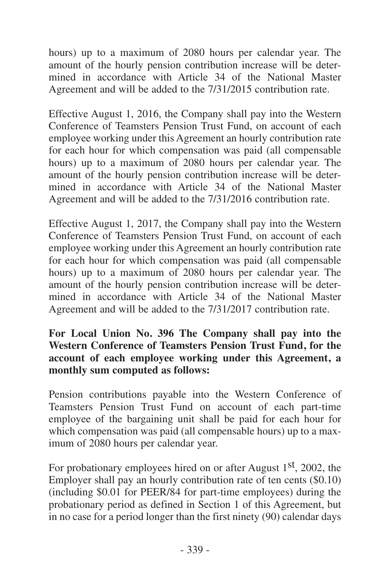hours) up to a maximum of 2080 hours per calendar year. The amount of the hourly pension contribution increase will be determined in accordance with Article 34 of the National Master Agreement and will be added to the 7/31/2015 contribution rate.

Effective August 1, 2016, the Company shall pay into the Western Conference of Teamsters Pension Trust Fund, on account of each employee working under this Agreement an hourly contribution rate for each hour for which compensation was paid (all compensable hours) up to a maximum of 2080 hours per calendar year. The amount of the hourly pension contribution increase will be determined in accordance with Article 34 of the National Master Agreement and will be added to the 7/31/2016 contribution rate.

Effective August 1, 2017, the Company shall pay into the Western Conference of Teamsters Pension Trust Fund, on account of each employee working under this Agreement an hourly contribution rate for each hour for which compensation was paid (all compensable hours) up to a maximum of 2080 hours per calendar year. The amount of the hourly pension contribution increase will be determined in accordance with Article 34 of the National Master Agreement and will be added to the 7/31/2017 contribution rate.

#### **For Local Union No. 396 The Company shall pay into the Western Conference of Teamsters Pension Trust Fund, for the account of each employee working under this Agreement, a monthly sum computed as follows:**

Pension contributions payable into the Western Conference of Teamsters Pension Trust Fund on account of each part-time employee of the bargaining unit shall be paid for each hour for which compensation was paid (all compensable hours) up to a maximum of 2080 hours per calendar year.

For probationary employees hired on or after August 1<sup>st</sup>, 2002, the Employer shall pay an hourly contribution rate of ten cents (\$0.10) (including \$0.01 for PEER/84 for part-time employees) during the probationary period as defined in Section 1 of this Agreement, but in no case for a period longer than the first ninety (90) calendar days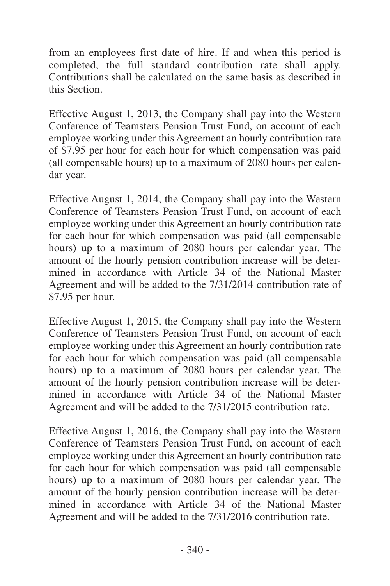from an employees first date of hire. If and when this period is completed, the full standard contribution rate shall apply. Contributions shall be calculated on the same basis as described in this Section.

Effective August 1, 2013, the Company shall pay into the Western Conference of Teamsters Pension Trust Fund, on account of each employee working under this Agreement an hourly contribution rate of \$7.95 per hour for each hour for which compensation was paid (all compensable hours) up to a maximum of 2080 hours per calendar year.

Effective August 1, 2014, the Company shall pay into the Western Conference of Teamsters Pension Trust Fund, on account of each employee working under this Agreement an hourly contribution rate for each hour for which compensation was paid (all compensable hours) up to a maximum of 2080 hours per calendar year. The amount of the hourly pension contribution increase will be determined in accordance with Article 34 of the National Master Agreement and will be added to the 7/31/2014 contribution rate of \$7.95 per hour.

Effective August 1, 2015, the Company shall pay into the Western Conference of Teamsters Pension Trust Fund, on account of each employee working under this Agreement an hourly contribution rate for each hour for which compensation was paid (all compensable hours) up to a maximum of 2080 hours per calendar year. The amount of the hourly pension contribution increase will be determined in accordance with Article 34 of the National Master Agreement and will be added to the 7/31/2015 contribution rate.

Effective August 1, 2016, the Company shall pay into the Western Conference of Teamsters Pension Trust Fund, on account of each employee working under this Agreement an hourly contribution rate for each hour for which compensation was paid (all compensable hours) up to a maximum of 2080 hours per calendar year. The amount of the hourly pension contribution increase will be determined in accordance with Article 34 of the National Master Agreement and will be added to the 7/31/2016 contribution rate.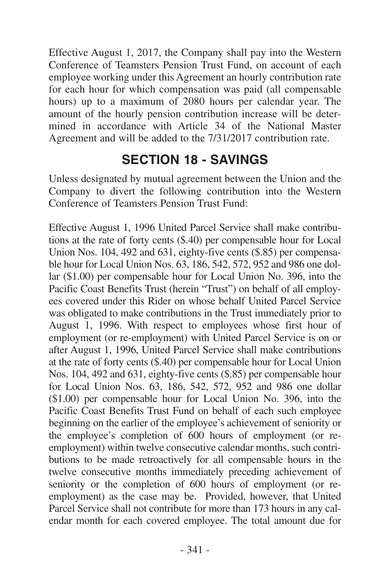<span id="page-28-0"></span>Effective August 1, 2017, the Company shall pay into the Western Conference of Teamsters Pension Trust Fund, on account of each employee working under this Agreement an hourly contribution rate for each hour for which compensation was paid (all compensable hours) up to a maximum of 2080 hours per calendar year. The amount of the hourly pension contribution increase will be determined in accordance with Article 34 of the National Master Agreement and will be added to the 7/31/2017 contribution rate.

## **SECTION 18 - SAVINGS**

Unless designated by mutual agreement between the Union and the Company to divert the following contribution into the Western Conference of Teamsters Pension Trust Fund:

Effective August 1, 1996 United Parcel Service shall make contributions at the rate of forty cents (\$.40) per compensable hour for Local Union Nos. 104, 492 and 631, eighty-five cents (\$.85) per compensable hour for Local Union Nos. 63, 186, 542, 572, 952 and 986 one dollar (\$1.00) per compensable hour for Local Union No. 396, into the Pacific Coast Benefits Trust (herein "Trust") on behalf of all employees covered under this Rider on whose behalf United Parcel Service was obligated to make contributions in the Trust immediately prior to August 1, 1996. With respect to employees whose first hour of employment (or re-employment) with United Parcel Service is on or after August 1, 1996, United Parcel Service shall make contributions at the rate of forty cents (\$.40) per compensable hour for Local Union Nos. 104, 492 and 631, eighty-five cents (\$.85) per compensable hour for Local Union Nos. 63, 186, 542, 572, 952 and 986 one dollar (\$1.00) per compensable hour for Local Union No. 396, into the Pacific Coast Benefits Trust Fund on behalf of each such employee beginning on the earlier of the employee's achievement of seniority or the employee's completion of 600 hours of employment (or reemployment) within twelve consecutive calendar months, such contributions to be made retroactively for all compensable hours in the twelve consecutive months immediately preceding achievement of seniority or the completion of 600 hours of employment (or reemployment) as the case may be. Provided, however, that United Parcel Service shall not contribute for more than 173 hours in any calendar month for each covered employee. The total amount due for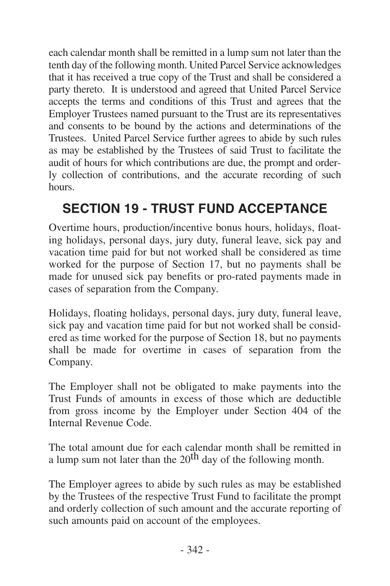<span id="page-29-0"></span>each calendar month shall be remitted in a lump sum not later than the tenth day of the following month. United Parcel Service acknowledges that it has received a true copy of the Trust and shall be considered a party thereto. It is understood and agreed that United Parcel Service accepts the terms and conditions of this Trust and agrees that the Employer Trustees named pursuant to the Trust are its representatives and consents to be bound by the actions and determinations of the Trustees. United Parcel Service further agrees to abide by such rules as may be established by the Trustees of said Trust to facilitate the audit of hours for which contributions are due, the prompt and orderly collection of contributions, and the accurate recording of such hours.

## **SECTION 19 - TRUST FUND ACCEPTANCE**

Overtime hours, production/incentive bonus hours, holidays, floating holidays, personal days, jury duty, funeral leave, sick pay and vacation time paid for but not worked shall be considered as time worked for the purpose of Section 17, but no payments shall be made for unused sick pay benefits or pro-rated payments made in cases of separation from the Company.

Holidays, floating holidays, personal days, jury duty, funeral leave, sick pay and vacation time paid for but not worked shall be considered as time worked for the purpose of Section 18, but no payments shall be made for overtime in cases of separation from the Company.

The Employer shall not be obligated to make payments into the Trust Funds of amounts in excess of those which are deductible from gross income by the Employer under Section 404 of the Internal Revenue Code.

The total amount due for each calendar month shall be remitted in a lump sum not later than the  $20<sup>th</sup>$  day of the following month.

The Employer agrees to abide by such rules as may be established by the Trustees of the respective Trust Fund to facilitate the prompt and orderly collection of such amount and the accurate reporting of such amounts paid on account of the employees.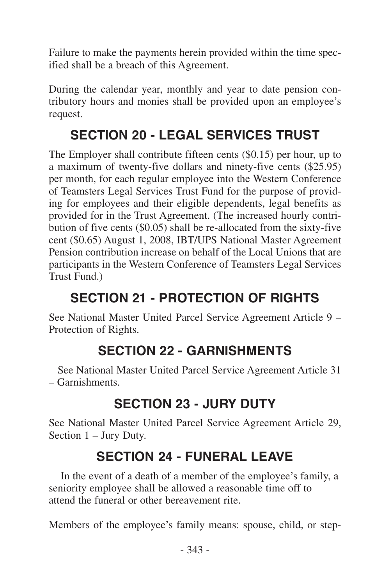<span id="page-30-0"></span>Failure to make the payments herein provided within the time specified shall be a breach of this Agreement.

During the calendar year, monthly and year to date pension contributory hours and monies shall be provided upon an employee's request.

## **SECTION 20 - LEGAL SERVICES TRUST**

The Employer shall contribute fifteen cents (\$0.15) per hour, up to a maximum of twenty-five dollars and ninety-five cents (\$25.95) per month, for each regular employee into the Western Conference of Teamsters Legal Services Trust Fund for the purpose of providing for employees and their eligible dependents, legal benefits as provided for in the Trust Agreement. (The increased hourly contribution of five cents (\$0.05) shall be re-allocated from the sixty-five cent (\$0.65) August 1, 2008, IBT/UPS National Master Agreement Pension contribution increase on behalf of the Local Unions that are participants in the Western Conference of Teamsters Legal Services Trust Fund.)

## **SECTION 21 - PROTECTION OF RIGHTS**

See National Master United Parcel Service Agreement Article 9 – Protection of Rights.

## **SECTION 22 - GARNISHMENTS**

See National Master United Parcel Service Agreement Article 31 – Garnishments.

## **SECTION 23 - JURY DUTY**

See National Master United Parcel Service Agreement Article 29, Section 1 – Jury Duty.

## **SECTION 24 - FUNERAL LEAVE**

In the event of a death of a member of the employee's family, a seniority employee shall be allowed a reasonable time off to attend the funeral or other bereavement rite.

Members of the employee's family means: spouse, child, or step-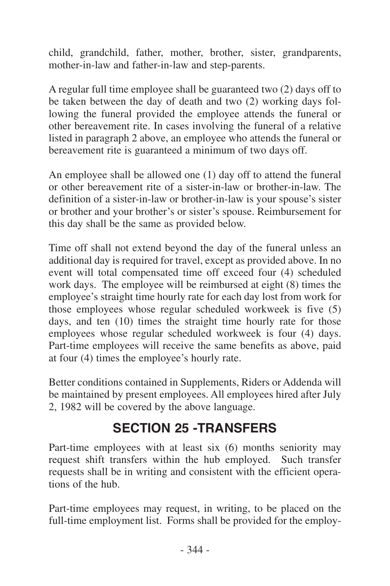<span id="page-31-0"></span>child, grandchild, father, mother, brother, sister, grandparents, mother-in-law and father-in-law and step-parents.

A regular full time employee shall be guaranteed two (2) days off to be taken between the day of death and two (2) working days following the funeral provided the employee attends the funeral or other bereavement rite. In cases involving the funeral of a relative listed in paragraph 2 above, an employee who attends the funeral or bereavement rite is guaranteed a minimum of two days off.

An employee shall be allowed one (1) day off to attend the funeral or other bereavement rite of a sister-in-law or brother-in-law. The definition of a sister-in-law or brother-in-law is your spouse's sister or brother and your brother's or sister's spouse. Reimbursement for this day shall be the same as provided below.

Time off shall not extend beyond the day of the funeral unless an additional day is required for travel, except as provided above. In no event will total compensated time off exceed four (4) scheduled work days. The employee will be reimbursed at eight (8) times the employee's straight time hourly rate for each day lost from work for those employees whose regular scheduled workweek is five (5) days, and ten (10) times the straight time hourly rate for those employees whose regular scheduled workweek is four (4) days. Part-time employees will receive the same benefits as above, paid at four (4) times the employee's hourly rate.

Better conditions contained in Supplements, Riders or Addenda will be maintained by present employees. All employees hired after July 2, 1982 will be covered by the above language.

## **SECTION 25 -TRANSFERS**

Part-time employees with at least six (6) months seniority may request shift transfers within the hub employed. Such transfer requests shall be in writing and consistent with the efficient operations of the hub.

Part-time employees may request, in writing, to be placed on the full-time employment list. Forms shall be provided for the employ-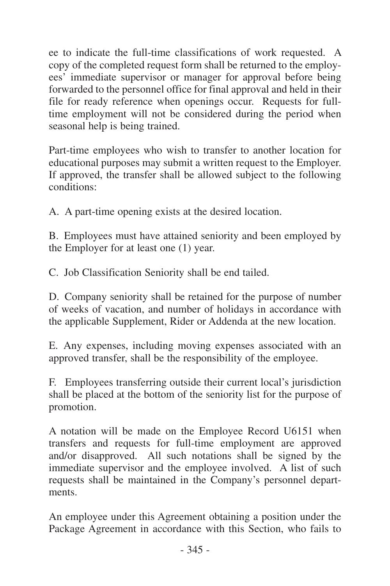ee to indicate the full-time classifications of work requested. A copy of the completed request form shall be returned to the employees' immediate supervisor or manager for approval before being forwarded to the personnel office for final approval and held in their file for ready reference when openings occur. Requests for fulltime employment will not be considered during the period when seasonal help is being trained.

Part-time employees who wish to transfer to another location for educational purposes may submit a written request to the Employer. If approved, the transfer shall be allowed subject to the following conditions:

A. A part-time opening exists at the desired location.

B. Employees must have attained seniority and been employed by the Employer for at least one (1) year.

C. Job Classification Seniority shall be end tailed.

D. Company seniority shall be retained for the purpose of number of weeks of vacation, and number of holidays in accordance with the applicable Supplement, Rider or Addenda at the new location.

E. Any expenses, including moving expenses associated with an approved transfer, shall be the responsibility of the employee.

F. Employees transferring outside their current local's jurisdiction shall be placed at the bottom of the seniority list for the purpose of promotion.

A notation will be made on the Employee Record U6151 when transfers and requests for full-time employment are approved and/or disapproved. All such notations shall be signed by the immediate supervisor and the employee involved. A list of such requests shall be maintained in the Company's personnel departments.

An employee under this Agreement obtaining a position under the Package Agreement in accordance with this Section, who fails to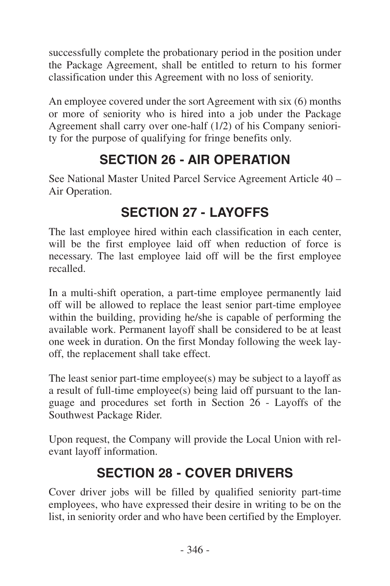<span id="page-33-0"></span>successfully complete the probationary period in the position under the Package Agreement, shall be entitled to return to his former classification under this Agreement with no loss of seniority.

An employee covered under the sort Agreement with six (6) months or more of seniority who is hired into a job under the Package Agreement shall carry over one-half (1/2) of his Company seniority for the purpose of qualifying for fringe benefits only.

## **SECTION 26 - AIR OPERATION**

See National Master United Parcel Service Agreement Article 40 – Air Operation.

## **SECTION 27 - LAYOFFS**

The last employee hired within each classification in each center, will be the first employee laid off when reduction of force is necessary. The last employee laid off will be the first employee recalled.

In a multi-shift operation, a part-time employee permanently laid off will be allowed to replace the least senior part-time employee within the building, providing he/she is capable of performing the available work. Permanent layoff shall be considered to be at least one week in duration. On the first Monday following the week layoff, the replacement shall take effect.

The least senior part-time employee(s) may be subject to a layoff as a result of full-time employee(s) being laid off pursuant to the language and procedures set forth in Section 26 - Layoffs of the Southwest Package Rider.

Upon request, the Company will provide the Local Union with relevant layoff information.

## **SECTION 28 - COVER DRIVERS**

Cover driver jobs will be filled by qualified seniority part-time employees, who have expressed their desire in writing to be on the list, in seniority order and who have been certified by the Employer.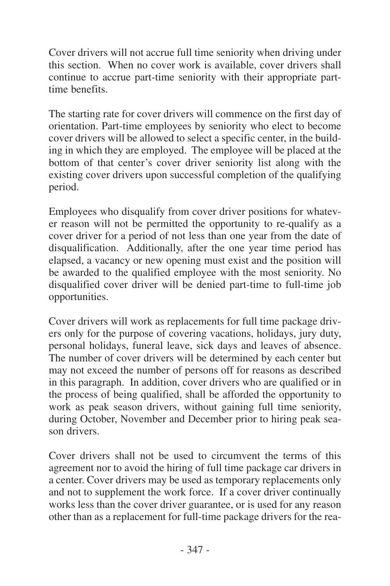Cover drivers will not accrue full time seniority when driving under this section. When no cover work is available, cover drivers shall continue to accrue part-time seniority with their appropriate parttime benefits.

The starting rate for cover drivers will commence on the first day of orientation. Part-time employees by seniority who elect to become cover drivers will be allowed to select a specific center, in the building in which they are employed. The employee will be placed at the bottom of that center's cover driver seniority list along with the existing cover drivers upon successful completion of the qualifying period.

Employees who disqualify from cover driver positions for whatever reason will not be permitted the opportunity to re-qualify as a cover driver for a period of not less than one year from the date of disqualification. Additionally, after the one year time period has elapsed, a vacancy or new opening must exist and the position will be awarded to the qualified employee with the most seniority. No disqualified cover driver will be denied part-time to full-time job opportunities.

Cover drivers will work as replacements for full time package drivers only for the purpose of covering vacations, holidays, jury duty, personal holidays, funeral leave, sick days and leaves of absence. The number of cover drivers will be determined by each center but may not exceed the number of persons off for reasons as described in this paragraph. In addition, cover drivers who are qualified or in the process of being qualified, shall be afforded the opportunity to work as peak season drivers, without gaining full time seniority, during October, November and December prior to hiring peak season drivers.

Cover drivers shall not be used to circumvent the terms of this agreement nor to avoid the hiring of full time package car drivers in a center. Cover drivers may be used as temporary replacements only and not to supplement the work force. If a cover driver continually works less than the cover driver guarantee, or is used for any reason other than as a replacement for full-time package drivers for the rea-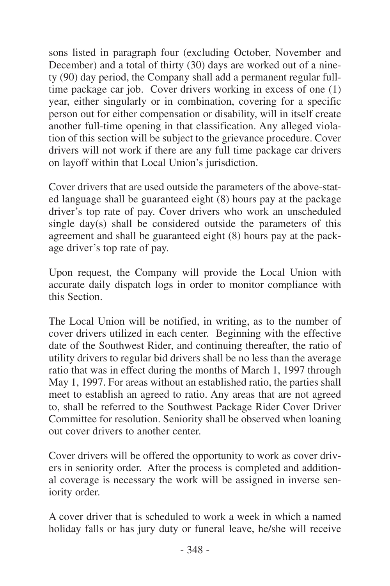sons listed in paragraph four (excluding October, November and December) and a total of thirty (30) days are worked out of a ninety (90) day period, the Company shall add a permanent regular fulltime package car job. Cover drivers working in excess of one (1) year, either singularly or in combination, covering for a specific person out for either compensation or disability, will in itself create another full-time opening in that classification. Any alleged violation of this section will be subject to the grievance procedure. Cover drivers will not work if there are any full time package car drivers on layoff within that Local Union's jurisdiction.

Cover drivers that are used outside the parameters of the above-stated language shall be guaranteed eight (8) hours pay at the package driver's top rate of pay. Cover drivers who work an unscheduled single  $day(s)$  shall be considered outside the parameters of this agreement and shall be guaranteed eight (8) hours pay at the package driver's top rate of pay.

Upon request, the Company will provide the Local Union with accurate daily dispatch logs in order to monitor compliance with this Section.

The Local Union will be notified, in writing, as to the number of cover drivers utilized in each center. Beginning with the effective date of the Southwest Rider, and continuing thereafter, the ratio of utility drivers to regular bid drivers shall be no less than the average ratio that was in effect during the months of March 1, 1997 through May 1, 1997. For areas without an established ratio, the parties shall meet to establish an agreed to ratio. Any areas that are not agreed to, shall be referred to the Southwest Package Rider Cover Driver Committee for resolution. Seniority shall be observed when loaning out cover drivers to another center.

Cover drivers will be offered the opportunity to work as cover drivers in seniority order. After the process is completed and additional coverage is necessary the work will be assigned in inverse seniority order.

A cover driver that is scheduled to work a week in which a named holiday falls or has jury duty or funeral leave, he/she will receive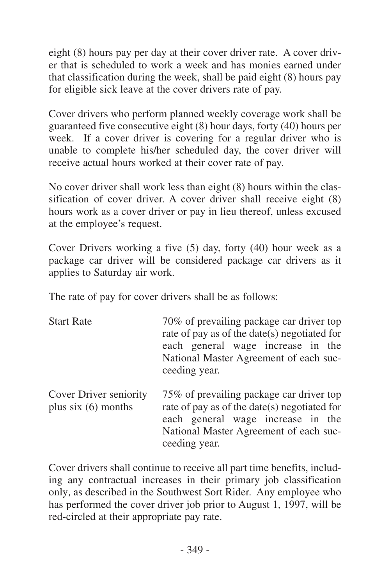eight (8) hours pay per day at their cover driver rate. A cover driver that is scheduled to work a week and has monies earned under that classification during the week, shall be paid eight (8) hours pay for eligible sick leave at the cover drivers rate of pay.

Cover drivers who perform planned weekly coverage work shall be guaranteed five consecutive eight (8) hour days, forty (40) hours per week. If a cover driver is covering for a regular driver who is unable to complete his/her scheduled day, the cover driver will receive actual hours worked at their cover rate of pay.

No cover driver shall work less than eight (8) hours within the classification of cover driver. A cover driver shall receive eight (8) hours work as a cover driver or pay in lieu thereof, unless excused at the employee's request.

Cover Drivers working a five (5) day, forty (40) hour week as a package car driver will be considered package car drivers as it applies to Saturday air work.

The rate of pay for cover drivers shall be as follows:

| <b>Start Rate</b>                              | 70% of prevailing package car driver top<br>rate of pay as of the date(s) negotiated for<br>each general wage increase in the<br>National Master Agreement of each suc-<br>ceeding year. |
|------------------------------------------------|------------------------------------------------------------------------------------------------------------------------------------------------------------------------------------------|
| Cover Driver seniority<br>plus $six(6)$ months | 75% of prevailing package car driver top<br>rate of pay as of the date(s) negotiated for<br>each general wage increase in the<br>National Master Agreement of each suc-<br>ceeding year. |

Cover drivers shall continue to receive all part time benefits, including any contractual increases in their primary job classification only*,* as described in the Southwest Sort Rider. Any employee who has performed the cover driver job prior to August 1, 1997, will be red-circled at their appropriate pay rate.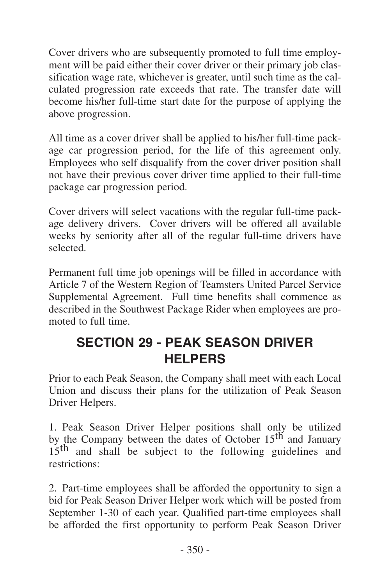<span id="page-37-0"></span>Cover drivers who are subsequently promoted to full time employment will be paid either their cover driver or their primary job classification wage rate, whichever is greater, until such time as the calculated progression rate exceeds that rate. The transfer date will become his/her full-time start date for the purpose of applying the above progression.

All time as a cover driver shall be applied to his/her full-time package car progression period, for the life of this agreement only. Employees who self disqualify from the cover driver position shall not have their previous cover driver time applied to their full-time package car progression period.

Cover drivers will select vacations with the regular full-time package delivery drivers. Cover drivers will be offered all available weeks by seniority after all of the regular full-time drivers have selected.

Permanent full time job openings will be filled in accordance with Article 7 of the Western Region of Teamsters United Parcel Service Supplemental Agreement. Full time benefits shall commence as described in the Southwest Package Rider when employees are promoted to full time.

## **SECTION 29 - PEAK SEASON DRIVER HELPERS**

Prior to each Peak Season, the Company shall meet with each Local Union and discuss their plans for the utilization of Peak Season Driver Helpers.

1. Peak Season Driver Helper positions shall only be utilized by the Company between the dates of October 15<sup>th</sup> and January 15<sup>th</sup> and shall be subject to the following guidelines and restrictions:

2. Part-time employees shall be afforded the opportunity to sign a bid for Peak Season Driver Helper work which will be posted from September 1-30 of each year. Qualified part-time employees shall be afforded the first opportunity to perform Peak Season Driver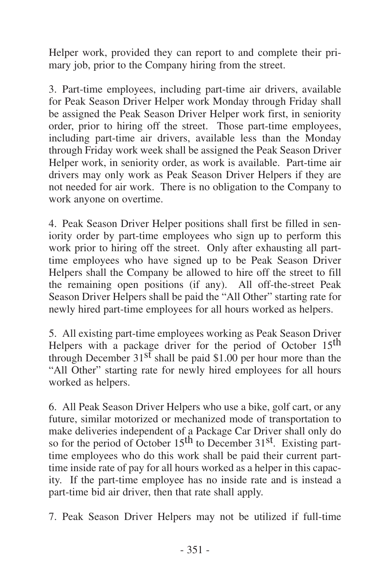Helper work, provided they can report to and complete their primary job, prior to the Company hiring from the street.

3. Part-time employees, including part-time air drivers, available for Peak Season Driver Helper work Monday through Friday shall be assigned the Peak Season Driver Helper work first, in seniority order, prior to hiring off the street. Those part-time employees, including part-time air drivers, available less than the Monday through Friday work week shall be assigned the Peak Season Driver Helper work, in seniority order, as work is available. Part-time air drivers may only work as Peak Season Driver Helpers if they are not needed for air work. There is no obligation to the Company to work anyone on overtime.

4. Peak Season Driver Helper positions shall first be filled in seniority order by part-time employees who sign up to perform this work prior to hiring off the street. Only after exhausting all parttime employees who have signed up to be Peak Season Driver Helpers shall the Company be allowed to hire off the street to fill the remaining open positions (if any). All off-the-street Peak Season Driver Helpers shall be paid the "All Other" starting rate for newly hired part-time employees for all hours worked as helpers.

5. All existing part-time employees working as Peak Season Driver Helpers with a package driver for the period of October 15<sup>th</sup> through December  $31<sup>sf</sup>$  shall be paid \$1.00 per hour more than the "All Other" starting rate for newly hired employees for all hours worked as helpers.

6. All Peak Season Driver Helpers who use a bike, golf cart, or any future, similar motorized or mechanized mode of transportation to make deliveries independent of a Package Car Driver shall only do so for the period of October 15<sup>th</sup> to December 31<sup>st</sup>. Existing parttime employees who do this work shall be paid their current parttime inside rate of pay for all hours worked as a helper in this capacity. If the part-time employee has no inside rate and is instead a part-time bid air driver, then that rate shall apply.

7. Peak Season Driver Helpers may not be utilized if full-time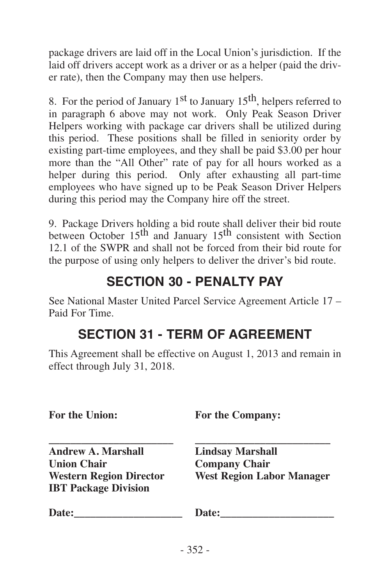<span id="page-39-0"></span>package drivers are laid off in the Local Union's jurisdiction. If the laid off drivers accept work as a driver or as a helper (paid the driver rate), then the Company may then use helpers.

8. For the period of January  $1<sup>st</sup>$  to January  $15<sup>th</sup>$ , helpers referred to in paragraph 6 above may not work. Only Peak Season Driver Helpers working with package car drivers shall be utilized during this period. These positions shall be filled in seniority order by existing part-time employees, and they shall be paid \$3.00 per hour more than the "All Other" rate of pay for all hours worked as a helper during this period. Only after exhausting all part-time employees who have signed up to be Peak Season Driver Helpers during this period may the Company hire off the street.

9. Package Drivers holding a bid route shall deliver their bid route between October 15<sup>th</sup> and January 15<sup>th</sup> consistent with Section 12.1 of the SWPR and shall not be forced from their bid route for the purpose of using only helpers to deliver the driver's bid route.

## **SECTION 30 - PENALTY PAY**

See National Master United Parcel Service Agreement Article 17 – Paid For Time.

## **SECTION 31 - TERM OF AGREEMENT**

This Agreement shall be effective on August 1, 2013 and remain in effect through July 31, 2018.

**For the Union: For the Company:**

**\_\_\_\_\_\_\_\_\_\_\_\_\_\_\_\_\_\_\_\_\_\_\_ \_\_\_\_\_\_\_\_\_\_\_\_\_\_\_\_\_\_\_\_\_\_\_\_\_ Andrew A. Marshall Lindsay Marshall Union Chair Company Chair IBT Package Division**

 $West$  **Region Labor Manager** 

**Date:\_\_\_\_\_\_\_\_\_\_\_\_\_\_\_\_\_\_\_\_ Date:\_\_\_\_\_\_\_\_\_\_\_\_\_\_\_\_\_\_\_\_\_**

| Date: |  |  |  |  |  |
|-------|--|--|--|--|--|
|       |  |  |  |  |  |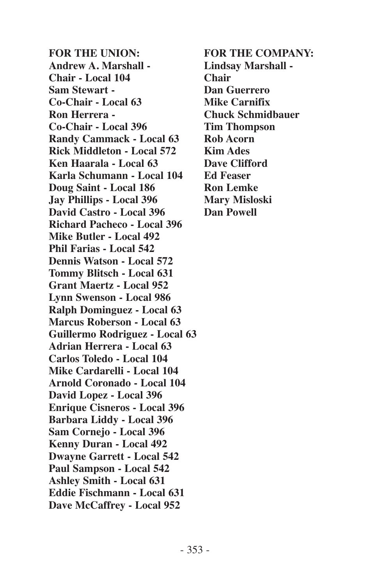**FOR THE UNION: FOR THE COMPANY: Andrew A. Marshall - Lindsay Marshall - Chair - Local 104 Chair Sam Stewart - Dan Guerrero Co-Chair - Local 63 Mike Carnifix Ron Herrera - Chuck Schmidbauer Co-Chair - Local 396 Tim Thompson Randy Cammack - Local 63 Rob Acorn Rick Middleton - Local 572 Kim Ades Ken Haarala - Local 63 Dave Clifford Karla Schumann - Local 104 Ed Feaser Doug Saint - Local 186 Ron Lemke Jay Phillips - Local 396 Mary Misloski David Castro - Local 396 Dan Powell Richard Pacheco - Local 396 Mike Butler - Local 492 Phil Farias - Local 542 Dennis Watson - Local 572 Tommy Blitsch - Local 631 Grant Maertz - Local 952 Lynn Swenson - Local 986 Ralph Dominguez - Local 63 Marcus Roberson - Local 63 Guillermo Rodriguez - Local 63 Adrian Herrera - Local 63 Carlos Toledo - Local 104 Mike Cardarelli - Local 104 Arnold Coronado - Local 104 David Lopez - Local 396 Enrique Cisneros - Local 396 Barbara Liddy - Local 396 Sam Cornejo - Local 396 Kenny Duran - Local 492 Dwayne Garrett - Local 542 Paul Sampson - Local 542 Ashley Smith - Local 631 Eddie Fischmann - Local 631 Dave McCaffrey - Local 952**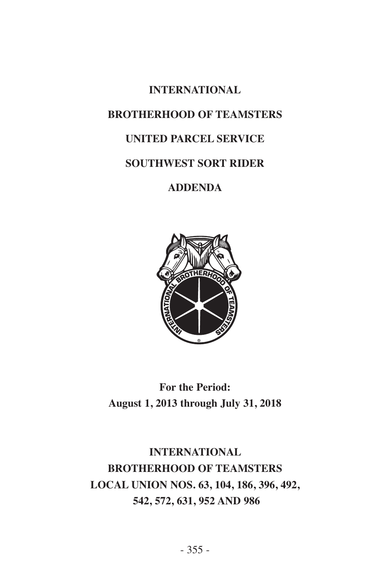# **INTERNATIONAL BROTHERHOOD OF TEAMSTERS UNITED PARCEL SERVICE SOUTHWEST SORT RIDER ADDENDA**



**For the Period: August 1, 2013 through July 31, 2018**

**INTERNATIONAL BROTHERHOOD OF TEAMSTERS LOCAL UNION NOS. 63, 104, 186, 396, 492, 542, 572, 631, 952 AND 986**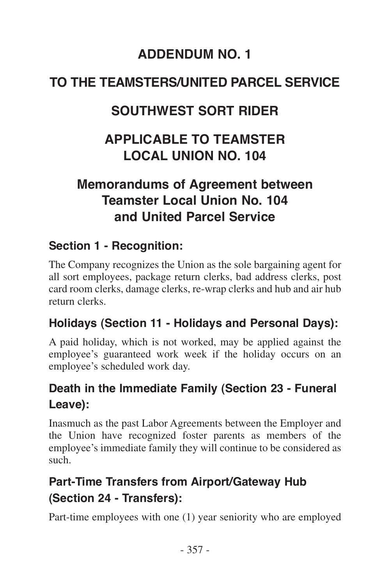## **ADDENDUM NO. 1**

## <span id="page-44-0"></span>**TO THE TEAMSTERS/UNITED PARCEL SERVICE**

## **SOUTHWEST SORT RIDER**

## **APPLICABLE TO TEAMSTER LOCAL UNION NO. 104**

## **Memorandums of Agreement between Teamster Local Union No. 104 and United Parcel Service**

#### **Section 1 - Recognition:**

The Company recognizes the Union as the sole bargaining agent for all sort employees, package return clerks, bad address clerks, post card room clerks, damage clerks, re-wrap clerks and hub and air hub return clerks.

#### **Holidays (Section 11 - Holidays and Personal Days):**

A paid holiday, which is not worked, may be applied against the employee's guaranteed work week if the holiday occurs on an employee's scheduled work day.

#### **Death in the Immediate Family (Section 23 - Funeral Leave):**

Inasmuch as the past Labor Agreements between the Employer and the Union have recognized foster parents as members of the employee's immediate family they will continue to be considered as such.

## **Part-Time Transfers from Airport/Gateway Hub (Section 24 - Transfers):**

Part-time employees with one (1) year seniority who are employed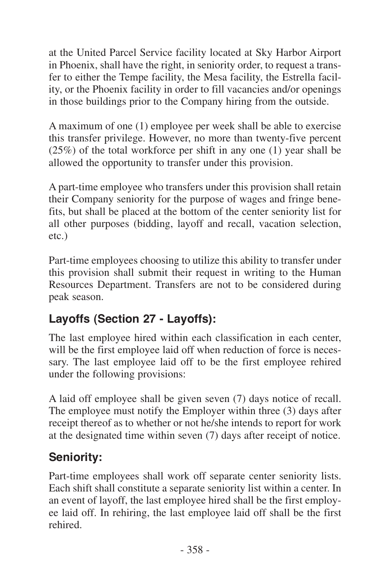at the United Parcel Service facility located at Sky Harbor Airport in Phoenix, shall have the right, in seniority order, to request a transfer to either the Tempe facility, the Mesa facility, the Estrella facility, or the Phoenix facility in order to fill vacancies and/or openings in those buildings prior to the Company hiring from the outside.

A maximum of one (1) employee per week shall be able to exercise this transfer privilege. However, no more than twenty-five percent (25%) of the total workforce per shift in any one (1) year shall be allowed the opportunity to transfer under this provision.

A part-time employee who transfers under this provision shall retain their Company seniority for the purpose of wages and fringe benefits, but shall be placed at the bottom of the center seniority list for all other purposes (bidding, layoff and recall, vacation selection, etc.)

Part-time employees choosing to utilize this ability to transfer under this provision shall submit their request in writing to the Human Resources Department. Transfers are not to be considered during peak season.

## **Layoffs (Section 27 - Layoffs):**

The last employee hired within each classification in each center, will be the first employee laid off when reduction of force is necessary. The last employee laid off to be the first employee rehired under the following provisions:

A laid off employee shall be given seven (7) days notice of recall. The employee must notify the Employer within three (3) days after receipt thereof as to whether or not he/she intends to report for work at the designated time within seven (7) days after receipt of notice.

## **Seniority:**

Part-time employees shall work off separate center seniority lists. Each shift shall constitute a separate seniority list within a center. In an event of layoff, the last employee hired shall be the first employee laid off. In rehiring, the last employee laid off shall be the first rehired.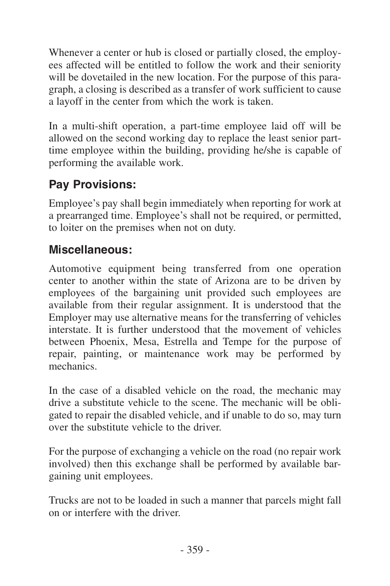Whenever a center or hub is closed or partially closed, the employees affected will be entitled to follow the work and their seniority will be dovetailed in the new location. For the purpose of this paragraph, a closing is described as a transfer of work sufficient to cause a layoff in the center from which the work is taken.

In a multi-shift operation, a part-time employee laid off will be allowed on the second working day to replace the least senior parttime employee within the building, providing he/she is capable of performing the available work.

## **Pay Provisions:**

Employee's pay shall begin immediately when reporting for work at a prearranged time. Employee's shall not be required, or permitted, to loiter on the premises when not on duty.

#### **Miscellaneous:**

Automotive equipment being transferred from one operation center to another within the state of Arizona are to be driven by employees of the bargaining unit provided such employees are available from their regular assignment. It is understood that the Employer may use alternative means for the transferring of vehicles interstate. It is further understood that the movement of vehicles between Phoenix, Mesa, Estrella and Tempe for the purpose of repair, painting, or maintenance work may be performed by mechanics.

In the case of a disabled vehicle on the road, the mechanic may drive a substitute vehicle to the scene. The mechanic will be obligated to repair the disabled vehicle, and if unable to do so, may turn over the substitute vehicle to the driver.

For the purpose of exchanging a vehicle on the road (no repair work involved) then this exchange shall be performed by available bargaining unit employees.

Trucks are not to be loaded in such a manner that parcels might fall on or interfere with the driver.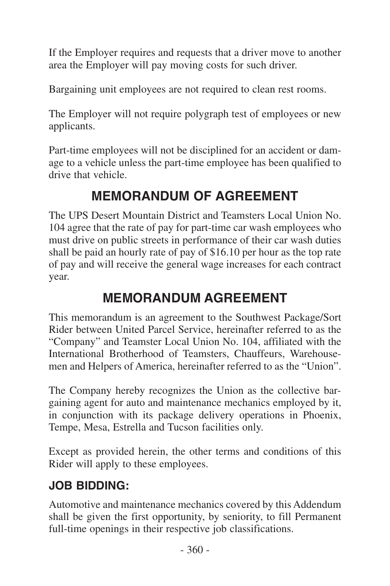If the Employer requires and requests that a driver move to another area the Employer will pay moving costs for such driver.

Bargaining unit employees are not required to clean rest rooms.

The Employer will not require polygraph test of employees or new applicants.

Part-time employees will not be disciplined for an accident or damage to a vehicle unless the part-time employee has been qualified to drive that vehicle.

## **MEMORANDUM OF AGREEMENT**

The UPS Desert Mountain District and Teamsters Local Union No. 104 agree that the rate of pay for part-time car wash employees who must drive on public streets in performance of their car wash duties shall be paid an hourly rate of pay of \$16.10 per hour as the top rate of pay and will receive the general wage increases for each contract year.

## **MEMORANDUM AGREEMENT**

This memorandum is an agreement to the Southwest Package/Sort Rider between United Parcel Service, hereinafter referred to as the "Company" and Teamster Local Union No. 104, affiliated with the International Brotherhood of Teamsters, Chauffeurs, Warehousemen and Helpers of America, hereinafter referred to as the "Union".

The Company hereby recognizes the Union as the collective bargaining agent for auto and maintenance mechanics employed by it, in conjunction with its package delivery operations in Phoenix, Tempe, Mesa, Estrella and Tucson facilities only.

Except as provided herein, the other terms and conditions of this Rider will apply to these employees.

## **JOB BIDDING:**

Automotive and maintenance mechanics covered by this Addendum shall be given the first opportunity, by seniority, to fill Permanent full-time openings in their respective job classifications.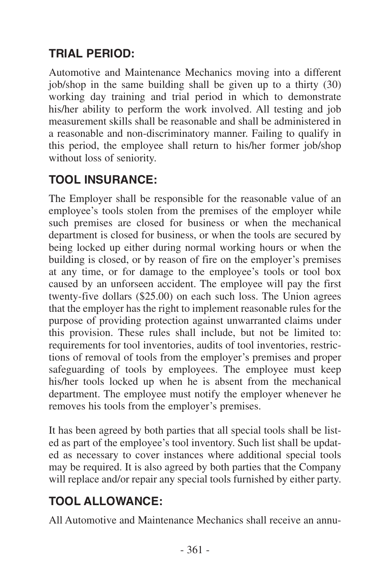## **TRIAL PERIOD:**

Automotive and Maintenance Mechanics moving into a different job/shop in the same building shall be given up to a thirty (30) working day training and trial period in which to demonstrate his/her ability to perform the work involved. All testing and job measurement skills shall be reasonable and shall be administered in a reasonable and non-discriminatory manner. Failing to qualify in this period, the employee shall return to his/her former job/shop without loss of seniority.

## **TOOL INSURANCE:**

The Employer shall be responsible for the reasonable value of an employee's tools stolen from the premises of the employer while such premises are closed for business or when the mechanical department is closed for business, or when the tools are secured by being locked up either during normal working hours or when the building is closed, or by reason of fire on the employer's premises at any time, or for damage to the employee's tools or tool box caused by an unforseen accident. The employee will pay the first twenty-five dollars (\$25.00) on each such loss. The Union agrees that the employer has the right to implement reasonable rules for the purpose of providing protection against unwarranted claims under this provision. These rules shall include, but not be limited to: requirements for tool inventories, audits of tool inventories, restrictions of removal of tools from the employer's premises and proper safeguarding of tools by employees. The employee must keep his/her tools locked up when he is absent from the mechanical department. The employee must notify the employer whenever he removes his tools from the employer's premises.

It has been agreed by both parties that all special tools shall be listed as part of the employee's tool inventory. Such list shall be updated as necessary to cover instances where additional special tools may be required. It is also agreed by both parties that the Company will replace and/or repair any special tools furnished by either party.

## **TOOL ALLOWANCE:**

All Automotive and Maintenance Mechanics shall receive an annu-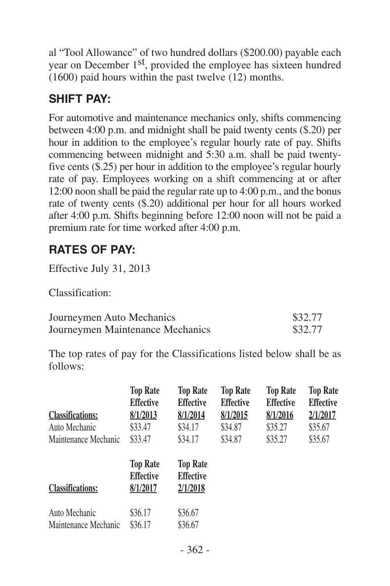al "Tool Allowance" of two hundred dollars (\$200.00) payable each year on December 1<sup>st</sup>, provided the employee has sixteen hundred (1600) paid hours within the past twelve (12) months.

## **SHIFT PAY:**

For automotive and maintenance mechanics only, shifts commencing between 4:00 p.m. and midnight shall be paid twenty cents (\$.20) per hour in addition to the employee's regular hourly rate of pay. Shifts commencing between midnight and 5:30 a.m. shall be paid twentyfive cents (\$.25) per hour in addition to the employee's regular hourly rate of pay. Employees working on a shift commencing at or after 12:00 noon shall be paid the regular rate up to 4:00 p.m., and the bonus rate of twenty cents (\$.20) additional per hour for all hours worked after 4:00 p.m. Shifts beginning before 12:00 noon will not be paid a premium rate for time worked after 4:00 p.m.

## **RATES OF PAY:**

Effective July 31, 2013

Classification:

| Journeymen Auto Mechanics        | \$32.77 |
|----------------------------------|---------|
| Journeymen Maintenance Mechanics | \$32.77 |

The top rates of pay for the Classifications listed below shall be as follows:

|                         | <b>Top Rate</b><br><b>Effective</b> | <b>Top Rate</b><br><b>Effective</b> | <b>Top Rate</b><br><b>Effective</b> | <b>Top Rate</b><br><b>Effective</b> | <b>Top Rate</b><br><b>Effective</b> |
|-------------------------|-------------------------------------|-------------------------------------|-------------------------------------|-------------------------------------|-------------------------------------|
| <b>Classifications:</b> | 8/1/2013                            | 8/1/2014                            | 8/1/2015                            | 8/1/2016                            | 2/1/2017                            |
| Auto Mechanic           | \$33.47                             | \$34.17                             | \$34.87                             | \$35.27                             | \$35.67                             |
| Maintenance Mechanic    | \$33.47                             | \$34.17                             | \$34.87                             | \$35.27                             | \$35.67                             |
|                         | <b>Top Rate</b><br><b>Effective</b> | <b>Top Rate</b><br><b>Effective</b> |                                     |                                     |                                     |
| <b>Classifications:</b> | 8/1/2017                            | 2/1/2018                            |                                     |                                     |                                     |
| Auto Mechanic           | \$36.17                             | \$36.67                             |                                     |                                     |                                     |
| Maintenance Mechanic    | \$36.17                             | \$36.67                             |                                     |                                     |                                     |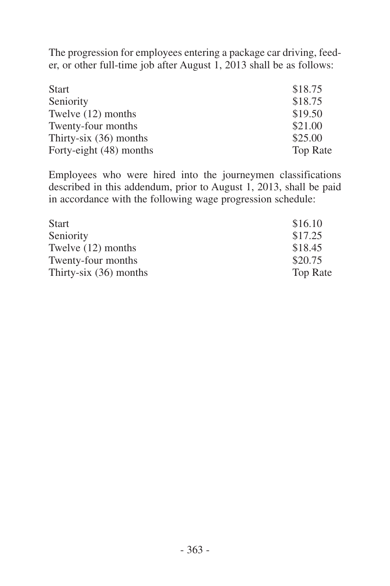The progression for employees entering a package car driving, feeder, or other full-time job after August 1, 2013 shall be as follows:

| <b>Start</b>             | \$18.75         |
|--------------------------|-----------------|
| Seniority                | \$18.75         |
| Twelve (12) months       | \$19.50         |
| Twenty-four months       | \$21.00         |
| Thirty-six $(36)$ months | \$25.00         |
| Forty-eight (48) months  | <b>Top Rate</b> |

Employees who were hired into the journeymen classifications described in this addendum, prior to August 1, 2013, shall be paid in accordance with the following wage progression schedule:

| <b>Start</b>             | \$16.10         |
|--------------------------|-----------------|
| Seniority                | \$17.25         |
| Twelve (12) months       | \$18.45         |
| Twenty-four months       | \$20.75         |
| Thirty-six $(36)$ months | <b>Top Rate</b> |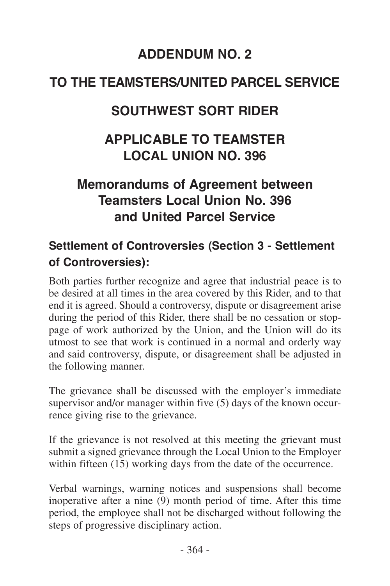## **ADDENDUM NO. 2**

## <span id="page-51-0"></span>**TO THE TEAMSTERS/UNITED PARCEL SERVICE**

## **SOUTHWEST SORT RIDER**

## **APPLICABLE TO TEAMSTER LOCAL UNION NO. 396**

## **Memorandums of Agreement between Teamsters Local Union No. 396 and United Parcel Service**

## **Settlement of Controversies (Section 3 - Settlement of Controversies):**

Both parties further recognize and agree that industrial peace is to be desired at all times in the area covered by this Rider, and to that end it is agreed. Should a controversy, dispute or disagreement arise during the period of this Rider, there shall be no cessation or stoppage of work authorized by the Union, and the Union will do its utmost to see that work is continued in a normal and orderly way and said controversy, dispute, or disagreement shall be adjusted in the following manner.

The grievance shall be discussed with the employer's immediate supervisor and/or manager within five (5) days of the known occurrence giving rise to the grievance.

If the grievance is not resolved at this meeting the grievant must submit a signed grievance through the Local Union to the Employer within fifteen (15) working days from the date of the occurrence.

Verbal warnings, warning notices and suspensions shall become inoperative after a nine (9) month period of time. After this time period, the employee shall not be discharged without following the steps of progressive disciplinary action.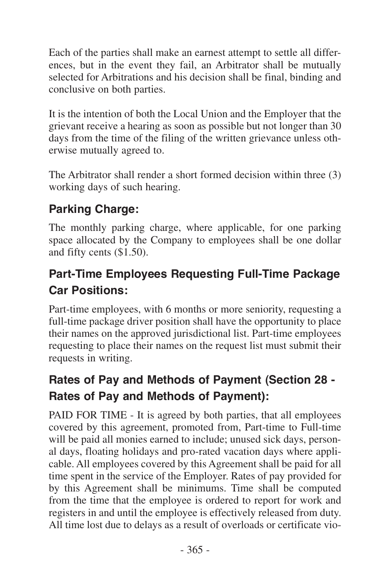Each of the parties shall make an earnest attempt to settle all differences, but in the event they fail, an Arbitrator shall be mutually selected for Arbitrations and his decision shall be final, binding and conclusive on both parties.

It is the intention of both the Local Union and the Employer that the grievant receive a hearing as soon as possible but not longer than 30 days from the time of the filing of the written grievance unless otherwise mutually agreed to.

The Arbitrator shall render a short formed decision within three (3) working days of such hearing.

#### **Parking Charge:**

The monthly parking charge, where applicable, for one parking space allocated by the Company to employees shall be one dollar and fifty cents (\$1.50).

## **Part-Time Employees Requesting Full-Time Package Car Positions:**

Part-time employees, with 6 months or more seniority, requesting a full-time package driver position shall have the opportunity to place their names on the approved jurisdictional list. Part-time employees requesting to place their names on the request list must submit their requests in writing.

## **Rates of Pay and Methods of Payment (Section 28 - Rates of Pay and Methods of Payment):**

PAID FOR TIME - It is agreed by both parties, that all employees covered by this agreement, promoted from, Part-time to Full-time will be paid all monies earned to include; unused sick days, personal days, floating holidays and pro-rated vacation days where applicable. All employees covered by this Agreement shall be paid for all time spent in the service of the Employer. Rates of pay provided for by this Agreement shall be minimums. Time shall be computed from the time that the employee is ordered to report for work and registers in and until the employee is effectively released from duty. All time lost due to delays as a result of overloads or certificate vio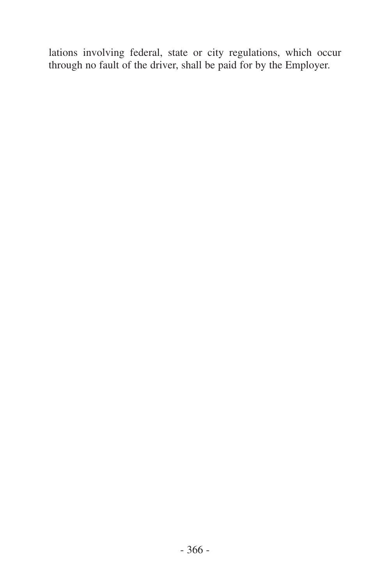lations involving federal, state or city regulations, which occur through no fault of the driver, shall be paid for by the Employer.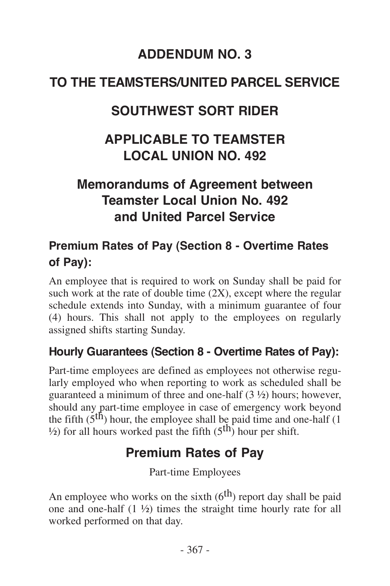## **ADDENDUM NO. 3**

## <span id="page-54-0"></span>**TO THE TEAMSTERS/UNITED PARCEL SERVICE**

## **SOUTHWEST SORT RIDER**

## **APPLICABLE TO TEAMSTER LOCAL UNION NO. 492**

## **Memorandums of Agreement between Teamster Local Union No. 492 and United Parcel Service**

## **Premium Rates of Pay (Section 8 - Overtime Rates of Pay):**

An employee that is required to work on Sunday shall be paid for such work at the rate of double time (2X), except where the regular schedule extends into Sunday, with a minimum guarantee of four (4) hours. This shall not apply to the employees on regularly assigned shifts starting Sunday.

#### **Hourly Guarantees (Section 8 - Overtime Rates of Pay):**

Part-time employees are defined as employees not otherwise regularly employed who when reporting to work as scheduled shall be guaranteed a minimum of three and one-half (3 ½) hours; however, should any part-time employee in case of emergency work beyond the fifth  $(5<sup>th</sup>)$  hour, the employee shall be paid time and one-half  $(1)$  $\frac{1}{2}$  for all hours worked past the fifth (5<sup>th</sup>) hour per shift.

## **Premium Rates of Pay**

Part-time Employees

An employee who works on the sixth  $(6<sup>th</sup>)$  report day shall be paid one and one-half (1 ½) times the straight time hourly rate for all worked performed on that day.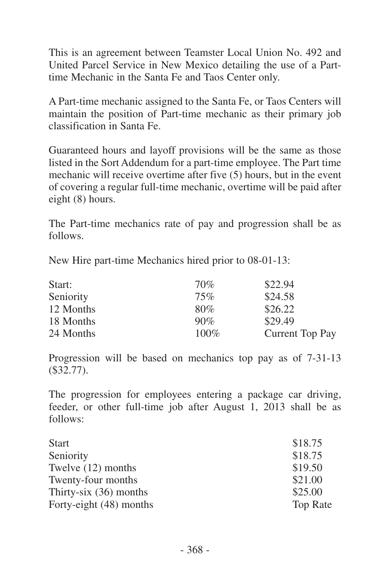This is an agreement between Teamster Local Union No. 492 and United Parcel Service in New Mexico detailing the use of a Parttime Mechanic in the Santa Fe and Taos Center only.

A Part-time mechanic assigned to the Santa Fe, or Taos Centers will maintain the position of Part-time mechanic as their primary job classification in Santa Fe.

Guaranteed hours and layoff provisions will be the same as those listed in the Sort Addendum for a part-time employee. The Part time mechanic will receive overtime after five (5) hours, but in the event of covering a regular full-time mechanic, overtime will be paid after eight (8) hours.

The Part-time mechanics rate of pay and progression shall be as follows.

New Hire part-time Mechanics hired prior to 08-01-13:

| Start:    | 70%  | \$22.94         |
|-----------|------|-----------------|
| Seniority | 75%  | \$24.58         |
| 12 Months | 80%  | \$26.22         |
| 18 Months | 90%  | \$29.49         |
| 24 Months | 100% | Current Top Pay |

Progression will be based on mechanics top pay as of 7-31-13 (\$32.77).

The progression for employees entering a package car driving, feeder, or other full-time job after August 1, 2013 shall be as follows:

| <b>Start</b>             | \$18.75         |
|--------------------------|-----------------|
| Seniority                | \$18.75         |
| Twelve (12) months       | \$19.50         |
| Twenty-four months       | \$21.00         |
| Thirty-six $(36)$ months | \$25.00         |
| Forty-eight (48) months  | <b>Top Rate</b> |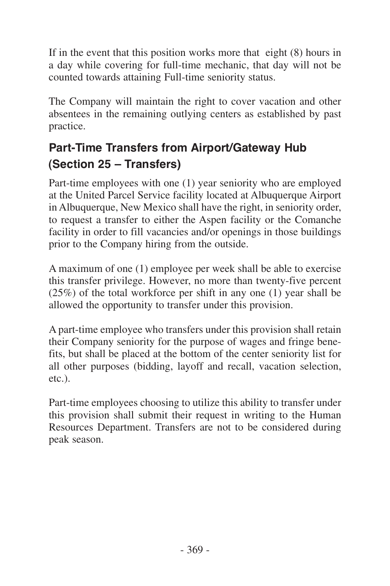If in the event that this position works more that eight (8) hours in a day while covering for full-time mechanic, that day will not be counted towards attaining Full-time seniority status.

The Company will maintain the right to cover vacation and other absentees in the remaining outlying centers as established by past practice.

## **Part-Time Transfers from Airport/Gateway Hub (Section 25 – Transfers)**

Part-time employees with one (1) year seniority who are employed at the United Parcel Service facility located at Albuquerque Airport in Albuquerque, New Mexico shall have the right, in seniority order, to request a transfer to either the Aspen facility or the Comanche facility in order to fill vacancies and/or openings in those buildings prior to the Company hiring from the outside.

A maximum of one (1) employee per week shall be able to exercise this transfer privilege. However, no more than twenty-five percent (25%) of the total workforce per shift in any one (1) year shall be allowed the opportunity to transfer under this provision.

A part-time employee who transfers under this provision shall retain their Company seniority for the purpose of wages and fringe benefits, but shall be placed at the bottom of the center seniority list for all other purposes (bidding, layoff and recall, vacation selection, etc.).

Part-time employees choosing to utilize this ability to transfer under this provision shall submit their request in writing to the Human Resources Department. Transfers are not to be considered during peak season.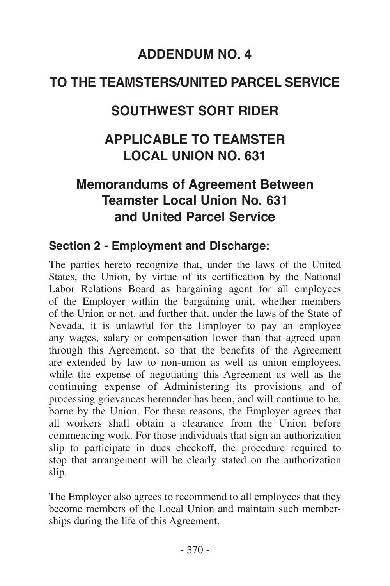## **ADDENDUM NO. 4**

## <span id="page-57-0"></span>**TO THE TEAMSTERS/UNITED PARCEL SERVICE**

## **SOUTHWEST SORT RIDER**

## **APPLICABLE TO TEAMSTER LOCAL UNION NO. 631**

## **Memorandums of Agreement Between Teamster Local Union No. 631 and United Parcel Service**

#### **Section 2 - Employment and Discharge:**

The parties hereto recognize that, under the laws of the United States, the Union, by virtue of its certification by the National Labor Relations Board as bargaining agent for all employees of the Employer within the bargaining unit, whether members of the Union or not, and further that, under the laws of the State of Nevada, it is unlawful for the Employer to pay an employee any wages, salary or compensation lower than that agreed upon through this Agreement, so that the benefits of the Agreement are extended by law to non-union as well as union employees, while the expense of negotiating this Agreement as well as the continuing expense of Administering its provisions and of processing grievances hereunder has been, and will continue to be, borne by the Union. For these reasons, the Employer agrees that all workers shall obtain a clearance from the Union before commencing work. For those individuals that sign an authorization slip to participate in dues checkoff, the procedure required to stop that arrangement will be clearly stated on the authorization slip.

The Employer also agrees to recommend to all employees that they become members of the Local Union and maintain such memberships during the life of this Agreement.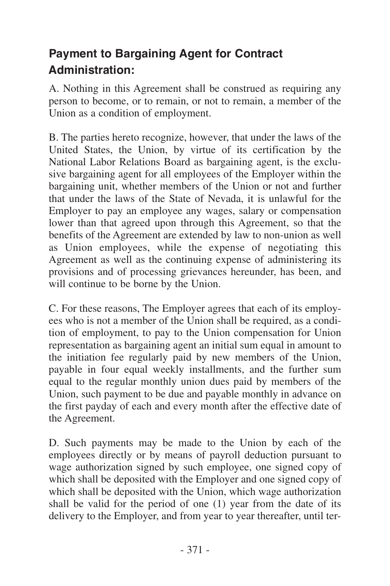## **Payment to Bargaining Agent for Contract Administration:**

A. Nothing in this Agreement shall be construed as requiring any person to become, or to remain, or not to remain, a member of the Union as a condition of employment.

B. The parties hereto recognize, however, that under the laws of the United States, the Union, by virtue of its certification by the National Labor Relations Board as bargaining agent, is the exclusive bargaining agent for all employees of the Employer within the bargaining unit, whether members of the Union or not and further that under the laws of the State of Nevada, it is unlawful for the Employer to pay an employee any wages, salary or compensation lower than that agreed upon through this Agreement, so that the benefits of the Agreement are extended by law to non-union as well as Union employees, while the expense of negotiating this Agreement as well as the continuing expense of administering its provisions and of processing grievances hereunder, has been, and will continue to be borne by the Union.

C. For these reasons, The Employer agrees that each of its employees who is not a member of the Union shall be required, as a condition of employment, to pay to the Union compensation for Union representation as bargaining agent an initial sum equal in amount to the initiation fee regularly paid by new members of the Union, payable in four equal weekly installments, and the further sum equal to the regular monthly union dues paid by members of the Union, such payment to be due and payable monthly in advance on the first payday of each and every month after the effective date of the Agreement.

D. Such payments may be made to the Union by each of the employees directly or by means of payroll deduction pursuant to wage authorization signed by such employee, one signed copy of which shall be deposited with the Employer and one signed copy of which shall be deposited with the Union, which wage authorization shall be valid for the period of one (1) year from the date of its delivery to the Employer, and from year to year thereafter, until ter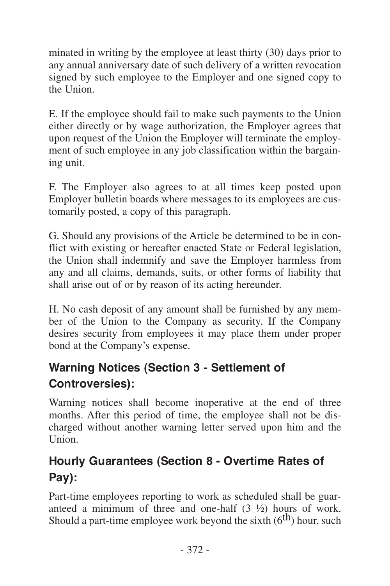minated in writing by the employee at least thirty (30) days prior to any annual anniversary date of such delivery of a written revocation signed by such employee to the Employer and one signed copy to the Union.

E. If the employee should fail to make such payments to the Union either directly or by wage authorization, the Employer agrees that upon request of the Union the Employer will terminate the employment of such employee in any job classification within the bargaining unit.

F. The Employer also agrees to at all times keep posted upon Employer bulletin boards where messages to its employees are customarily posted, a copy of this paragraph.

G. Should any provisions of the Article be determined to be in conflict with existing or hereafter enacted State or Federal legislation, the Union shall indemnify and save the Employer harmless from any and all claims, demands, suits, or other forms of liability that shall arise out of or by reason of its acting hereunder.

H. No cash deposit of any amount shall be furnished by any member of the Union to the Company as security. If the Company desires security from employees it may place them under proper bond at the Company's expense.

## **Warning Notices (Section 3 - Settlement of Controversies):**

Warning notices shall become inoperative at the end of three months. After this period of time, the employee shall not be discharged without another warning letter served upon him and the Union.

## **Hourly Guarantees (Section 8 - Overtime Rates of Pay):**

Part-time employees reporting to work as scheduled shall be guaranteed a minimum of three and one-half (3 ½) hours of work. Should a part-time employee work beyond the sixth  $(6<sup>th</sup>)$  hour, such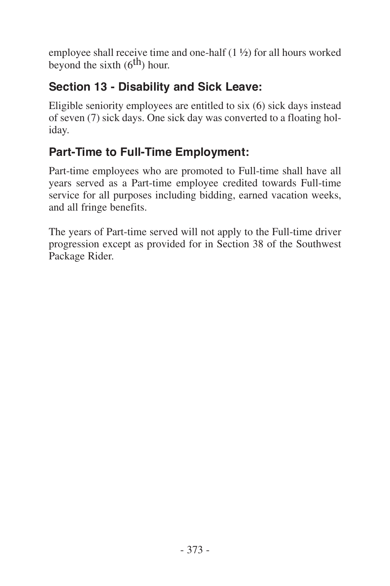employee shall receive time and one-half (1 ½) for all hours worked beyond the sixth  $(6<sup>th</sup>)$  hour.

### **Section 13 - Disability and Sick Leave:**

Eligible seniority employees are entitled to six (6) sick days instead of seven (7) sick days. One sick day was converted to a floating holiday.

## **Part-Time to Full-Time Employment:**

Part-time employees who are promoted to Full-time shall have all years served as a Part-time employee credited towards Full-time service for all purposes including bidding, earned vacation weeks, and all fringe benefits.

The years of Part-time served will not apply to the Full-time driver progression except as provided for in Section 38 of the Southwest Package Rider.